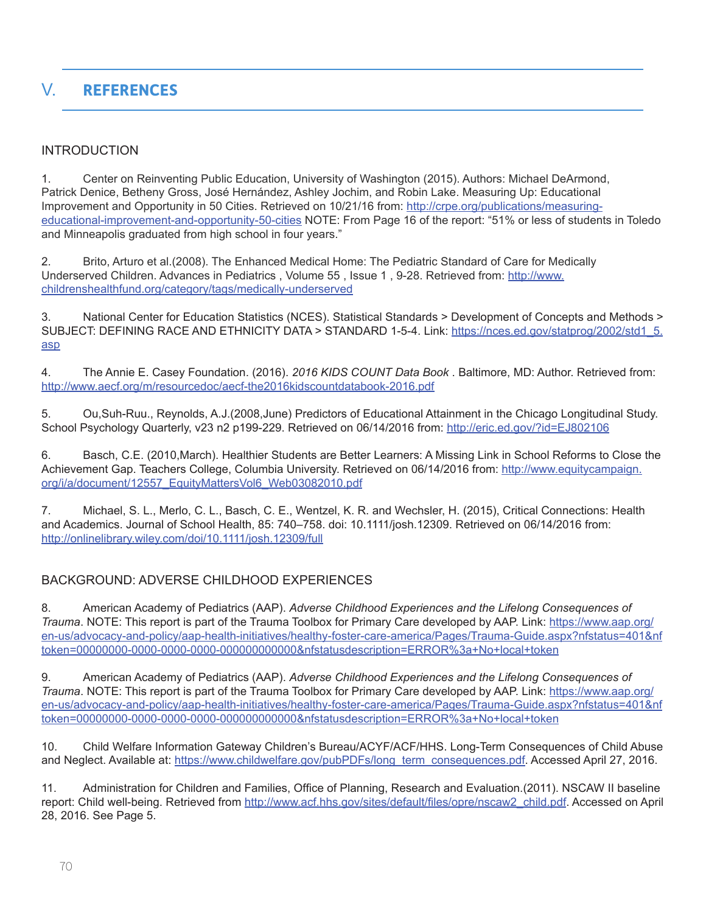# V. **REFERENCES**

# INTRODUCTION

1. Center on Reinventing Public Education, University of Washington (2015). Authors: Michael DeArmond, Patrick Denice, Betheny Gross, José Hernández, Ashley Jochim, and Robin Lake. Measuring Up: Educational Improvement and Opportunity in 50 Cities. Retrieved on 10/21/16 from: [http://crpe.org/publications/measuring](http://crpe.org/publications/measuring-educational-improvement-and-opportunity-50-cities)[educational-improvement-and-opportunity-50-cities](http://crpe.org/publications/measuring-educational-improvement-and-opportunity-50-cities) NOTE: From Page 16 of the report: "51% or less of students in Toledo and Minneapolis graduated from high school in four years."

2. Brito, Arturo et al.(2008). The Enhanced Medical Home: The Pediatric Standard of Care for Medically Underserved Children. Advances in Pediatrics , Volume 55 , Issue 1 , 9-28. Retrieved from: [http://www.](http://www.childrenshealthfund.org/category/tags/medically-underserved) [childrenshealthfund.org/category/tags/medically-underserved](http://www.childrenshealthfund.org/category/tags/medically-underserved)

3. National Center for Education Statistics (NCES). Statistical Standards > Development of Concepts and Methods > SUBJECT: DEFINING RACE AND ETHNICITY DATA > STANDARD 1-5-4. Link: [https://nces.ed.gov/statprog/2002/std1\\_5.](https://nces.ed.gov/statprog/2002/std1_5.asp) [asp](https://nces.ed.gov/statprog/2002/std1_5.asp)

4. The Annie E. Casey Foundation. (2016). *2016 KIDS COUNT Data Book* . Baltimore, MD: Author. Retrieved from: <http://www.aecf.org/m/resourcedoc/aecf-the2016kidscountdatabook-2016.pdf>

5. Ou,Suh-Ruu., Reynolds, A.J.(2008,June) Predictors of Educational Attainment in the Chicago Longitudinal Study. School Psychology Quarterly, v23 n2 p199-229. Retrieved on 06/14/2016 from: <http://eric.ed.gov/?id=EJ802106>

6. Basch, C.E. (2010,March). Healthier Students are Better Learners: A Missing Link in School Reforms to Close the Achievement Gap. Teachers College, Columbia University. Retrieved on 06/14/2016 from: [http://www.equitycampaign.](http://www.equitycampaign.org/i/a/document/12557_EquityMattersVol6_Web03082010.pdf) [org/i/a/document/12557\\_EquityMattersVol6\\_Web03082010.pdf](http://www.equitycampaign.org/i/a/document/12557_EquityMattersVol6_Web03082010.pdf)

7. Michael, S. L., Merlo, C. L., Basch, C. E., Wentzel, K. R. and Wechsler, H. (2015), Critical Connections: Health and Academics. Journal of School Health, 85: 740–758. doi: 10.1111/josh.12309. Retrieved on 06/14/2016 from: <http://onlinelibrary.wiley.com/doi/10.1111/josh.12309/full>

# BACKGROUND: ADVERSE CHILDHOOD EXPERIENCES

8. American Academy of Pediatrics (AAP). *Adverse Childhood Experiences and the Lifelong Consequences of Trauma*. NOTE: This report is part of the Trauma Toolbox for Primary Care developed by AAP. Link: [https://www.aap.org/](https://www.aap.org/en-us/advocacy-and-policy/aap-health-initiatives/healthy-foster-care-america/Pages/Trauma-Guide.aspx?nfstatus=401&nftoken=00000000-0000-0000-0000-000000000000&nfstatusdescription=ERROR%3a+No+local+token) [en-us/advocacy-and-policy/aap-health-initiatives/healthy-foster-care-america/Pages/Trauma-Guide.aspx?nfstatus=401&nf](https://www.aap.org/en-us/advocacy-and-policy/aap-health-initiatives/healthy-foster-care-america/Pages/Trauma-Guide.aspx?nfstatus=401&nftoken=00000000-0000-0000-0000-000000000000&nfstatusdescription=ERROR%3a+No+local+token) [token=00000000-0000-0000-0000-000000000000&nfstatusdescription=ERROR%3a+No+local+token](https://www.aap.org/en-us/advocacy-and-policy/aap-health-initiatives/healthy-foster-care-america/Pages/Trauma-Guide.aspx?nfstatus=401&nftoken=00000000-0000-0000-0000-000000000000&nfstatusdescription=ERROR%3a+No+local+token)

9. American Academy of Pediatrics (AAP). *Adverse Childhood Experiences and the Lifelong Consequences of Trauma*. NOTE: This report is part of the Trauma Toolbox for Primary Care developed by AAP. Link: [https://www.aap.org/](https://www.aap.org/en-us/advocacy-and-policy/aap-health-initiatives/healthy-foster-care-america/Pages/Trauma-Guide.aspx?nfstatus=401&nftoken=00000000-0000-0000-0000-000000000000&nfstatusdescription=ERROR%3a+No+local+token) [en-us/advocacy-and-policy/aap-health-initiatives/healthy-foster-care-america/Pages/Trauma-Guide.aspx?nfstatus=401&nf](https://www.aap.org/en-us/advocacy-and-policy/aap-health-initiatives/healthy-foster-care-america/Pages/Trauma-Guide.aspx?nfstatus=401&nftoken=00000000-0000-0000-0000-000000000000&nfstatusdescription=ERROR%3a+No+local+token) [token=00000000-0000-0000-0000-000000000000&nfstatusdescription=ERROR%3a+No+local+token](https://www.aap.org/en-us/advocacy-and-policy/aap-health-initiatives/healthy-foster-care-america/Pages/Trauma-Guide.aspx?nfstatus=401&nftoken=00000000-0000-0000-0000-000000000000&nfstatusdescription=ERROR%3a+No+local+token)

10. Child Welfare Information Gateway Children's Bureau/ACYF/ACF/HHS. Long-Term Consequences of Child Abuse and Neglect. Available at: [https://www.childwelfare.gov/pubPDFs/long\\_term\\_consequences.pdf.](https://www.childwelfare.gov/pubPDFs/long_term_consequences.pdf) Accessed April 27, 2016.

11. Administration for Children and Families, Office of Planning, Research and Evaluation.(2011). NSCAW II baseline report: Child well-being. Retrieved from [http://www.acf.hhs.gov/sites/default/files/opre/nscaw2\\_child.pdf](http://www.acf.hhs.gov/sites/default/files/opre/nscaw2_child.pdf). Accessed on April 28, 2016. See Page 5.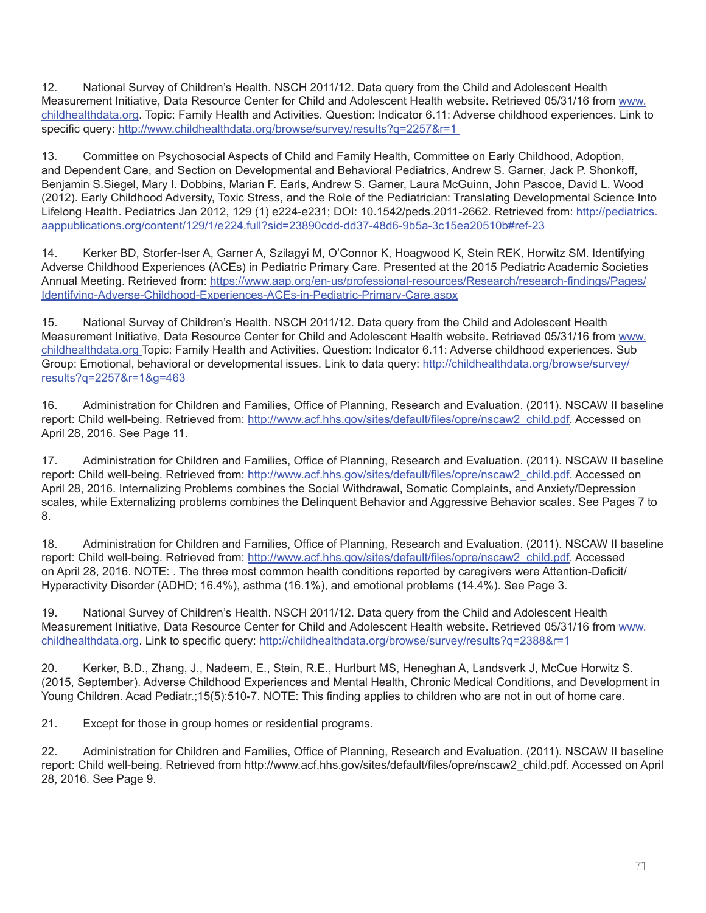12. National Survey of Children's Health. NSCH 2011/12. Data query from the Child and Adolescent Health Measurement Initiative, Data Resource Center for Child and Adolescent Health website. Retrieved 05/31/16 from [www.](http://www.childhealthdata.org) [childhealthdata.org](http://www.childhealthdata.org). Topic: Family Health and Activities. Question: Indicator 6.11: Adverse childhood experiences. Link to specific query: http://www.childhealthdata.org/browse/survey/results?q=2257&r=1

13. Committee on Psychosocial Aspects of Child and Family Health, Committee on Early Childhood, Adoption, and Dependent Care, and Section on Developmental and Behavioral Pediatrics, Andrew S. Garner, Jack P. Shonkoff, Benjamin S.Siegel, Mary I. Dobbins, Marian F. Earls, Andrew S. Garner, Laura McGuinn, John Pascoe, David L. Wood (2012). Early Childhood Adversity, Toxic Stress, and the Role of the Pediatrician: Translating Developmental Science Into Lifelong Health. Pediatrics Jan 2012, 129 (1) e224-e231; DOI: 10.1542/peds.2011-2662. Retrieved from: http://pediatrics. aappublications.org/content/129/1/e224.full?sid=23890cdd-dd37-48d6-9b5a-3c15ea20510b#ref-23

14. Kerker BD, Storfer-Iser A, Garner A, Szilagyi M, O'Connor K, Hoagwood K, Stein REK, Horwitz SM. Identifying Adverse Childhood Experiences (ACEs) in Pediatric Primary Care. Presented at the 2015 Pediatric Academic Societies Annual Meeting. Retrieved from: [https://www.aap.org/en-us/professional-resources/Research/research-findings/Pages/](https://www.aap.org/en-us/professional-resources/Research/research-findings/Pages/Identifying-Adverse-Childhood-Experiences-ACEs-in-Pediatric-Primary-Care.aspx) [Identifying-Adverse-Childhood-Experiences-ACEs-in-Pediatric-Primary-Care.aspx](https://www.aap.org/en-us/professional-resources/Research/research-findings/Pages/Identifying-Adverse-Childhood-Experiences-ACEs-in-Pediatric-Primary-Care.aspx)

15. National Survey of Children's Health. NSCH 2011/12. Data query from the Child and Adolescent Health Measurement Initiative, Data Resource Center for Child and Adolescent Health website. Retrieved 05/31/16 from [www.](http://www.childhealthdata.org) [childhealthdata.org](http://www.childhealthdata.org) Topic: Family Health and Activities. Question: Indicator 6.11: Adverse childhood experiences. Sub Group: Emotional, behavioral or developmental issues. Link to data query: [http://childhealthdata.org/browse/survey/](http://childhealthdata.org/browse/survey/results?q=2257&r=1&g=463) [results?q=2257&r=1&g=463](http://childhealthdata.org/browse/survey/results?q=2257&r=1&g=463)

16. Administration for Children and Families, Office of Planning, Research and Evaluation. (2011). NSCAW II baseline report: Child well-being. Retrieved from: [http://www.acf.hhs.gov/sites/default/files/opre/nscaw2\\_child.pdf](http://www.acf.hhs.gov/sites/default/files/opre/nscaw2_child.pdf). Accessed on April 28, 2016. See Page 11.

17. Administration for Children and Families, Office of Planning, Research and Evaluation. (2011). NSCAW II baseline report: Child well-being. Retrieved from: [http://www.acf.hhs.gov/sites/default/files/opre/nscaw2\\_child.pdf](http://www.acf.hhs.gov/sites/default/files/opre/nscaw2_child.pdf). Accessed on April 28, 2016. Internalizing Problems combines the Social Withdrawal, Somatic Complaints, and Anxiety/Depression scales, while Externalizing problems combines the Delinquent Behavior and Aggressive Behavior scales. See Pages 7 to 8.

18. Administration for Children and Families, Office of Planning, Research and Evaluation. (2011). NSCAW II baseline report: Child well-being. Retrieved from: [http://www.acf.hhs.gov/sites/default/files/opre/nscaw2\\_child.pdf](http://www.acf.hhs.gov/sites/default/files/opre/nscaw2_child.pdf). Accessed on April 28, 2016. NOTE: . The three most common health conditions reported by caregivers were Attention-Deficit/ Hyperactivity Disorder (ADHD; 16.4%), asthma (16.1%), and emotional problems (14.4%). See Page 3.

19. National Survey of Children's Health. NSCH 2011/12. Data query from the Child and Adolescent Health Measurement Initiative, Data Resource Center for Child and Adolescent Health website. Retrieved 05/31/16 from [www.](http://www.childhealthdata.org) [childhealthdata.org](http://www.childhealthdata.org). Link to specific query:<http://childhealthdata.org/browse/survey/results?q=2388&r=1>

20. Kerker, B.D., Zhang, J., Nadeem, E., Stein, R.E., Hurlburt MS, Heneghan A, Landsverk J, McCue Horwitz S. (2015, September). Adverse Childhood Experiences and Mental Health, Chronic Medical Conditions, and Development in Young Children. Acad Pediatr.;15(5):510-7. NOTE: This finding applies to children who are not in out of home care.

21. Except for those in group homes or residential programs.

22. Administration for Children and Families, Office of Planning, Research and Evaluation. (2011). NSCAW II baseline report: Child well-being. Retrieved from http://www.acf.hhs.gov/sites/default/files/opre/nscaw2\_child.pdf. Accessed on April 28, 2016. See Page 9.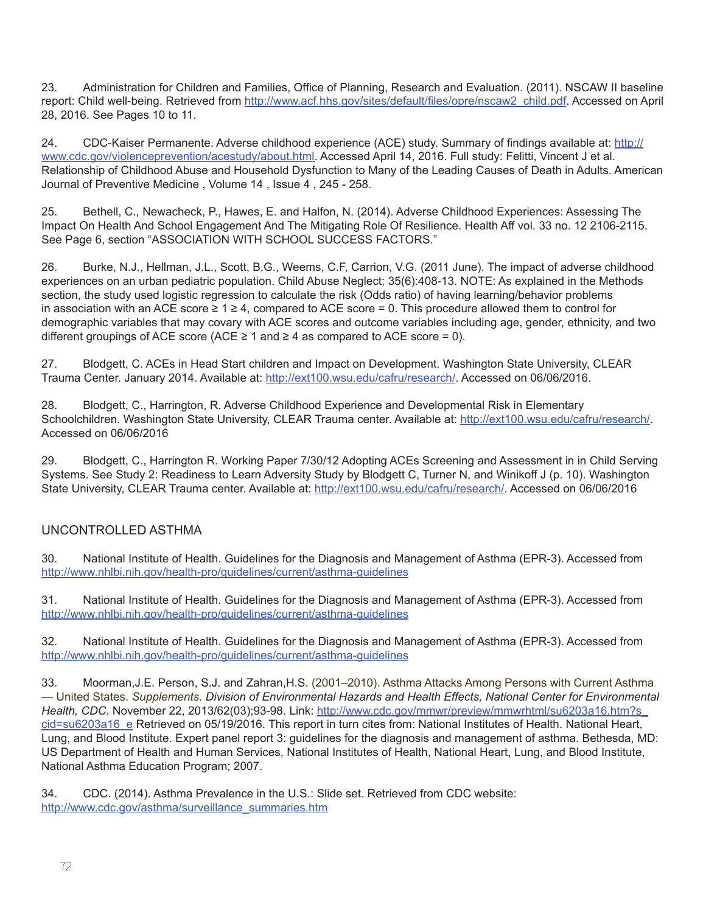23. Administration for Children and Families, Office of Planning, Research and Evaluation. (2011). NSCAW II baseline report: Child well-being. Retrieved from [http://www.acf.hhs.gov/sites/default/files/opre/nscaw2\\_child.pdf](http://www.acf.hhs.gov/sites/default/files/opre/nscaw2_child.pdf). Accessed on April 28, 2016. See Pages 10 to 11.

24. CDC-Kaiser Permanente. Adverse childhood experience (ACE) study. Summary of findings available at: [http://](http://www.cdc.gov/violenceprevention/acestudy/about.html) [www.cdc.gov/violenceprevention/acestudy/about.html.](http://www.cdc.gov/violenceprevention/acestudy/about.html) Accessed April 14, 2016. Full study: Felitti, Vincent J et al. Relationship of Childhood Abuse and Household Dysfunction to Many of the Leading Causes of Death in Adults. American Journal of Preventive Medicine , Volume 14 , Issue 4 , 245 - 258.

25. Bethell, C., Newacheck, P., Hawes, E. and Halfon, N. (2014). Adverse Childhood Experiences: Assessing The Impact On Health And School Engagement And The Mitigating Role Of Resilience. Health Aff vol. 33 no. 12 2106-2115. See Page 6, section "ASSOCIATION WITH SCHOOL SUCCESS FACTORS."

26. Burke, N.J., Hellman, J.L., Scott, B.G., Weems, C.F, Carrion, V.G. (2011 June). The impact of adverse childhood experiences on an urban pediatric population. Child Abuse Neglect; 35(6):408-13. NOTE: As explained in the Methods section, the study used logistic regression to calculate the risk (Odds ratio) of having learning/behavior problems in association with an ACE score  $\geq 1 \geq 4$ , compared to ACE score = 0. This procedure allowed them to control for demographic variables that may covary with ACE scores and outcome variables including age, gender, ethnicity, and two different groupings of ACE score (ACE  $\geq$  1 and  $\geq$  4 as compared to ACE score = 0).

27. Blodgett, C. ACEs in Head Start children and Impact on Development. Washington State University, CLEAR Trauma Center. January 2014. Available at: <http://ext100.wsu.edu/cafru/research/>. Accessed on 06/06/2016.

28. Blodgett, C., Harrington, R. Adverse Childhood Experience and Developmental Risk in Elementary Schoolchildren. Washington State University, CLEAR Trauma center. Available at:<http://ext100.wsu.edu/cafru/research/>. Accessed on 06/06/2016

29. Blodgett, C., Harrington R. Working Paper 7/30/12 Adopting ACEs Screening and Assessment in in Child Serving Systems. See Study 2: Readiness to Learn Adversity Study by Blodgett C, Turner N, and Winikoff J (p. 10). Washington State University, CLEAR Trauma center. Available at: <http://ext100.wsu.edu/cafru/research/>. Accessed on 06/06/2016

# UNCONTROLLED ASTHMA

30. National Institute of Health. Guidelines for the Diagnosis and Management of Asthma (EPR-3). Accessed from <http://www.nhlbi.nih.gov/health-pro/guidelines/current/asthma-guidelines>

31. National Institute of Health. Guidelines for the Diagnosis and Management of Asthma (EPR-3). Accessed from <http://www.nhlbi.nih.gov/health-pro/guidelines/current/asthma-guidelines>

32. National Institute of Health. Guidelines for the Diagnosis and Management of Asthma (EPR-3). Accessed from <http://www.nhlbi.nih.gov/health-pro/guidelines/current/asthma-guidelines>

33. Moorman,J.E. Person, S.J. and Zahran,H.S. (2001–2010). Asthma Attacks Among Persons with Current Asthma — United States. *Supplements. Division of Environmental Hazards and Health Effects, National Center for Environmental Health, CDC.* November 22, 2013/62(03);93-98. Link: [http://www.cdc.gov/mmwr/preview/mmwrhtml/su6203a16.htm?s\\_](http://www.cdc.gov/mmwr/preview/mmwrhtml/su6203a16.htm?s_cid=su6203a16_e) [cid=su6203a16\\_e](http://www.cdc.gov/mmwr/preview/mmwrhtml/su6203a16.htm?s_cid=su6203a16_e) Retrieved on 05/19/2016. This report in turn cites from: National Institutes of Health. National Heart, Lung, and Blood Institute. Expert panel report 3: guidelines for the diagnosis and management of asthma. Bethesda, MD: US Department of Health and Human Services, National Institutes of Health, National Heart, Lung, and Blood Institute, National Asthma Education Program; 2007.

34. CDC. (2014). Asthma Prevalence in the U.S.: Slide set. Retrieved from CDC website: [http://www.cdc.gov/asthma/surveillance\\_summaries.htm](http://www.cdc.gov/asthma/surveillance_summaries.htm)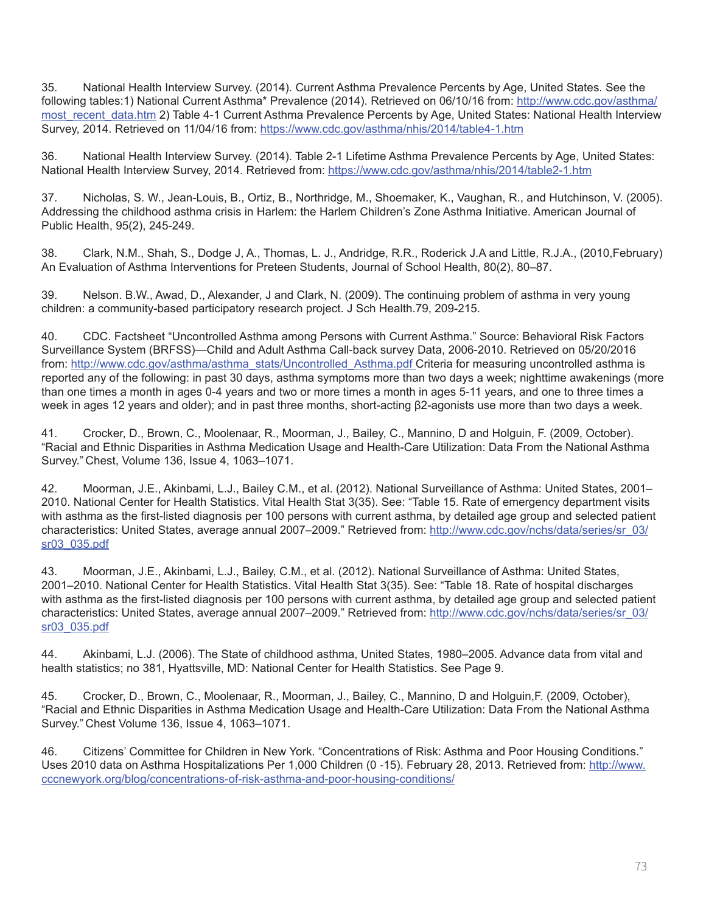35. National Health Interview Survey. (2014). Current Asthma Prevalence Percents by Age, United States. See the following tables:1) National Current Asthma\* Prevalence (2014). Retrieved on 06/10/16 from: [http://www.cdc.gov/asthma/](http://www.cdc.gov/asthma/most_recent_data.htm) most recent data.htm 2) Table 4-1 Current Asthma Prevalence Percents by Age, United States: National Health Interview Survey, 2014. Retrieved on 11/04/16 from: <https://www.cdc.gov/asthma/nhis/2014/table4-1.htm>

36. National Health Interview Survey. (2014). Table 2-1 Lifetime Asthma Prevalence Percents by Age, United States: National Health Interview Survey, 2014. Retrieved from: <https://www.cdc.gov/asthma/nhis/2014/table2-1.htm>

37. Nicholas, S. W., Jean-Louis, B., Ortiz, B., Northridge, M., Shoemaker, K., Vaughan, R., and Hutchinson, V. (2005). Addressing the childhood asthma crisis in Harlem: the Harlem Children's Zone Asthma Initiative. American Journal of Public Health, 95(2), 245-249.

38. Clark, N.M., Shah, S., Dodge J, A., Thomas, L. J., Andridge, R.R., Roderick J.A and Little, R.J.A., (2010,February) An Evaluation of Asthma Interventions for Preteen Students, Journal of School Health, 80(2), 80–87.

39. Nelson. B.W., Awad, D., Alexander, J and Clark, N. (2009). The continuing problem of asthma in very young children: a community-based participatory research project. J Sch Health.79, 209-215.

40. CDC. Factsheet "Uncontrolled Asthma among Persons with Current Asthma." Source: Behavioral Risk Factors Surveillance System (BRFSS)—Child and Adult Asthma Call-back survey Data, 2006-2010. Retrieved on 05/20/2016 from: [http://www.cdc.gov/asthma/asthma\\_stats/Uncontrolled\\_Asthma.pdf](http://www.cdc.gov/asthma/asthma_stats/Uncontrolled_Asthma.pdf) Criteria for measuring uncontrolled asthma is reported any of the following: in past 30 days, asthma symptoms more than two days a week; nighttime awakenings (more than one times a month in ages 0-4 years and two or more times a month in ages 5-11 years, and one to three times a week in ages 12 years and older); and in past three months, short-acting β2-agonists use more than two days a week.

41. Crocker, D., Brown, C., Moolenaar, R., Moorman, J., Bailey, C., Mannino, D and Holguin, F. (2009, October). "Racial and Ethnic Disparities in Asthma Medication Usage and Health-Care Utilization: Data From the National Asthma Survey." Chest, Volume 136, Issue 4, 1063–1071.

42. Moorman, J.E., Akinbami, L.J., Bailey C.M., et al. (2012). National Surveillance of Asthma: United States, 2001– 2010. National Center for Health Statistics. Vital Health Stat 3(35). See: "Table 15. Rate of emergency department visits with asthma as the first-listed diagnosis per 100 persons with current asthma, by detailed age group and selected patient characteristics: United States, average annual 2007–2009." Retrieved from: [http://www.cdc.gov/nchs/data/series/sr\\_03/](http://www.cdc.gov/nchs/data/series/sr_03/sr03_035.pdf) [sr03\\_035.pdf](http://www.cdc.gov/nchs/data/series/sr_03/sr03_035.pdf)

43. Moorman, J.E., Akinbami, L.J., Bailey, C.M., et al. (2012). National Surveillance of Asthma: United States, 2001–2010. National Center for Health Statistics. Vital Health Stat 3(35). See: "Table 18. Rate of hospital discharges with asthma as the first-listed diagnosis per 100 persons with current asthma, by detailed age group and selected patient characteristics: United States, average annual 2007-2009." Retrieved from: [http://www.cdc.gov/nchs/data/series/sr\\_03/](http://www.cdc.gov/nchs/data/series/sr_03/sr03_035.pdf) [sr03\\_035.pdf](http://www.cdc.gov/nchs/data/series/sr_03/sr03_035.pdf)

44. Akinbami, L.J. (2006). The State of childhood asthma, United States, 1980–2005. Advance data from vital and health statistics; no 381, Hyattsville, MD: National Center for Health Statistics. See Page 9.

45. Crocker, D., Brown, C., Moolenaar, R., Moorman, J., Bailey, C., Mannino, D and Holguin,F. (2009, October), "Racial and Ethnic Disparities in Asthma Medication Usage and Health-Care Utilization: Data From the National Asthma Survey." Chest Volume 136, Issue 4, 1063–1071.

46. Citizens' Committee for Children in New York. "Concentrations of Risk: Asthma and Poor Housing Conditions." Uses 2010 data on Asthma Hospitalizations Per 1,000 Children (0 -15). February 28, 2013. Retrieved from: [http://www.](http://www.cccnewyork.org/blog/concentrations-of-risk-asthma-and-poor-housing-conditions/) [cccnewyork.org/blog/concentrations-of-risk-asthma-and-poor-housing-conditions/](http://www.cccnewyork.org/blog/concentrations-of-risk-asthma-and-poor-housing-conditions/)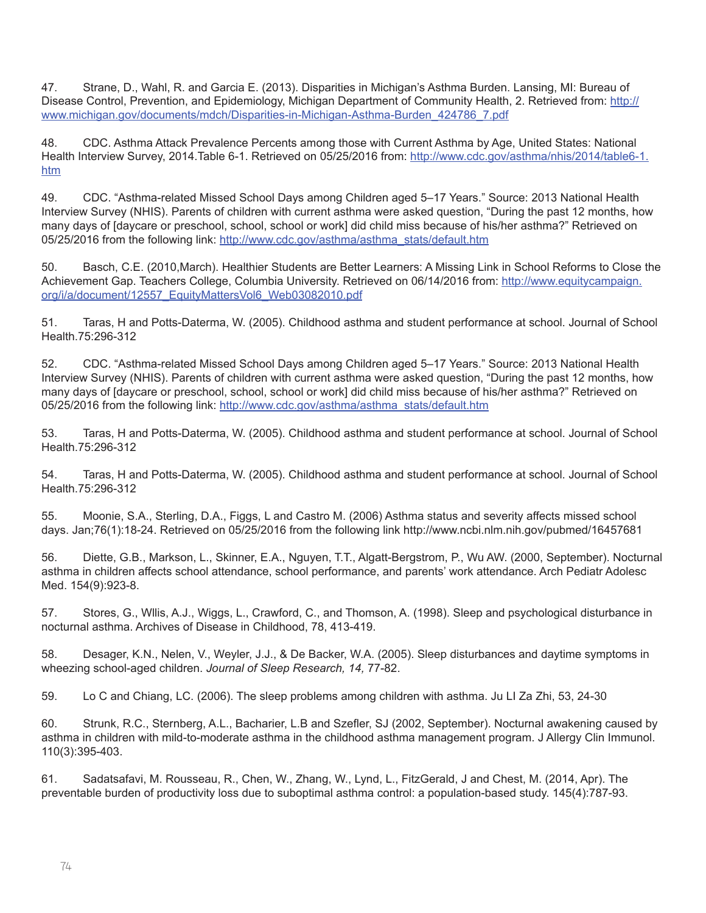47. Strane, D., Wahl, R. and Garcia E. (2013). Disparities in Michigan's Asthma Burden. Lansing, MI: Bureau of Disease Control, Prevention, and Epidemiology, Michigan Department of Community Health, 2. Retrieved from: [http://](http://www.michigan.gov/documents/mdch/Disparities-in-Michigan-Asthma-Burden_424786_7.pdf) [www.michigan.gov/documents/mdch/Disparities-in-Michigan-Asthma-Burden\\_424786\\_7.pdf](http://www.michigan.gov/documents/mdch/Disparities-in-Michigan-Asthma-Burden_424786_7.pdf)

48. CDC. Asthma Attack Prevalence Percents among those with Current Asthma by Age, United States: National Health Interview Survey, 2014. Table 6-1. Retrieved on 05/25/2016 from: [http://www.cdc.gov/asthma/nhis/2014/table6-1.](http://www.cdc.gov/asthma/nhis/2014/table6-1.htm) [htm](http://www.cdc.gov/asthma/nhis/2014/table6-1.htm)

49. CDC. "Asthma-related Missed School Days among Children aged 5–17 Years." Source: 2013 National Health Interview Survey (NHIS). Parents of children with current asthma were asked question, "During the past 12 months, how many days of [daycare or preschool, school, school or work] did child miss because of his/her asthma?" Retrieved on 05/25/2016 from the following link: [http://www.cdc.gov/asthma/asthma\\_stats/default.htm](http://www.cdc.gov/asthma/asthma_stats/default.htm)

50. Basch, C.E. (2010,March). Healthier Students are Better Learners: A Missing Link in School Reforms to Close the Achievement Gap. Teachers College, Columbia University. Retrieved on 06/14/2016 from: [http://www.equitycampaign.](http://www.equitycampaign.org/i/a/document/12557_EquityMattersVol6_Web03082010.pdf) [org/i/a/document/12557\\_EquityMattersVol6\\_Web03082010.pdf](http://www.equitycampaign.org/i/a/document/12557_EquityMattersVol6_Web03082010.pdf)

51. Taras, H and Potts-Daterma, W. (2005). Childhood asthma and student performance at school. Journal of School Health.75:296-312

52. CDC. "Asthma-related Missed School Days among Children aged 5–17 Years." Source: 2013 National Health Interview Survey (NHIS). Parents of children with current asthma were asked question, "During the past 12 months, how many days of [daycare or preschool, school, school or work] did child miss because of his/her asthma?" Retrieved on 05/25/2016 from the following link: [http://www.cdc.gov/asthma/asthma\\_stats/default.htm](http://www.cdc.gov/asthma/asthma_stats/default.htm)

53. Taras, H and Potts-Daterma, W. (2005). Childhood asthma and student performance at school. Journal of School Health.75:296-312

54. Taras, H and Potts-Daterma, W. (2005). Childhood asthma and student performance at school. Journal of School Health.75:296-312

55. [Moonie, S.A](http://www.ncbi.nlm.nih.gov/pubmed/?term=Moonie%20SA%5BAuthor%5D&cauthor=true&cauthor_uid=16457681)., [Sterling, D.A.](http://www.ncbi.nlm.nih.gov/pubmed/?term=Sterling%20DA%5BAuthor%5D&cauthor=true&cauthor_uid=16457681), [Figgs, L](http://www.ncbi.nlm.nih.gov/pubmed/?term=Figgs%20L%5BAuthor%5D&cauthor=true&cauthor_uid=16457681) and [Castro M](http://www.ncbi.nlm.nih.gov/pubmed/?term=Castro%20M%5BAuthor%5D&cauthor=true&cauthor_uid=16457681). (2006) Asthma status and severity affects missed school days. Jan;76(1):18-24. Retrieved on 05/25/2016 from the following link http://www.ncbi.nlm.nih.gov/pubmed/16457681

56. [Diette, G.B.](http://www.ncbi.nlm.nih.gov/pubmed/?term=Diette%20GB%5BAuthor%5D&cauthor=true&cauthor_uid=10980797)[, Markson, L.](http://www.ncbi.nlm.nih.gov/pubmed/?term=Markson%20L%5BAuthor%5D&cauthor=true&cauthor_uid=10980797)[, Skinner, E.A](http://www.ncbi.nlm.nih.gov/pubmed/?term=Skinner%20EA%5BAuthor%5D&cauthor=true&cauthor_uid=10980797)., [Nguyen, T.T](http://www.ncbi.nlm.nih.gov/pubmed/?term=Nguyen%20TT%5BAuthor%5D&cauthor=true&cauthor_uid=10980797)., [Algatt-Bergstrom, P.](http://www.ncbi.nlm.nih.gov/pubmed/?term=Algatt-Bergstrom%20P%5BAuthor%5D&cauthor=true&cauthor_uid=10980797)[, Wu AW](http://www.ncbi.nlm.nih.gov/pubmed/?term=Wu%20AW%5BAuthor%5D&cauthor=true&cauthor_uid=10980797). (2000, September). Nocturnal asthma in children affects school attendance, school performance, and parents' work attendance. [Arch Pediatr Adolesc](http://www.ncbi.nlm.nih.gov/pubmed/10980797)  [Med.](http://www.ncbi.nlm.nih.gov/pubmed/10980797) 154(9):923-8.

57. Stores, G., Wllis, A.J., Wiggs, L., Crawford, C., and Thomson, A. (1998). Sleep and psychological disturbance in nocturnal asthma. Archives of Disease in Childhood, 78, 413-419.

58. Desager, K.N., Nelen, V., Weyler, J.J., & De Backer, W.A. (2005). Sleep disturbances and daytime symptoms in wheezing school-aged children. *Journal of Sleep Research, 14,* 77-82.

59. Lo C and Chiang, LC. (2006). The sleep problems among children with asthma. Ju LI Za Zhi, 53, 24-30

60. Strunk, R.C., Sternberg, A.L., Bacharier, L.B and Szefler, SJ (2002, September). Nocturnal awakening caused by asthma in children with mild-to-moderate asthma in the childhood asthma management program. J Allergy Clin Immunol. 110(3):395-403.

61. Sadatsafavi, M. Rousseau, R., Chen, W., Zhang, W., Lynd, L., FitzGerald, J and Chest, M. (2014, Apr). The preventable burden of productivity loss due to suboptimal asthma control: a population-based study. 145(4):787-93.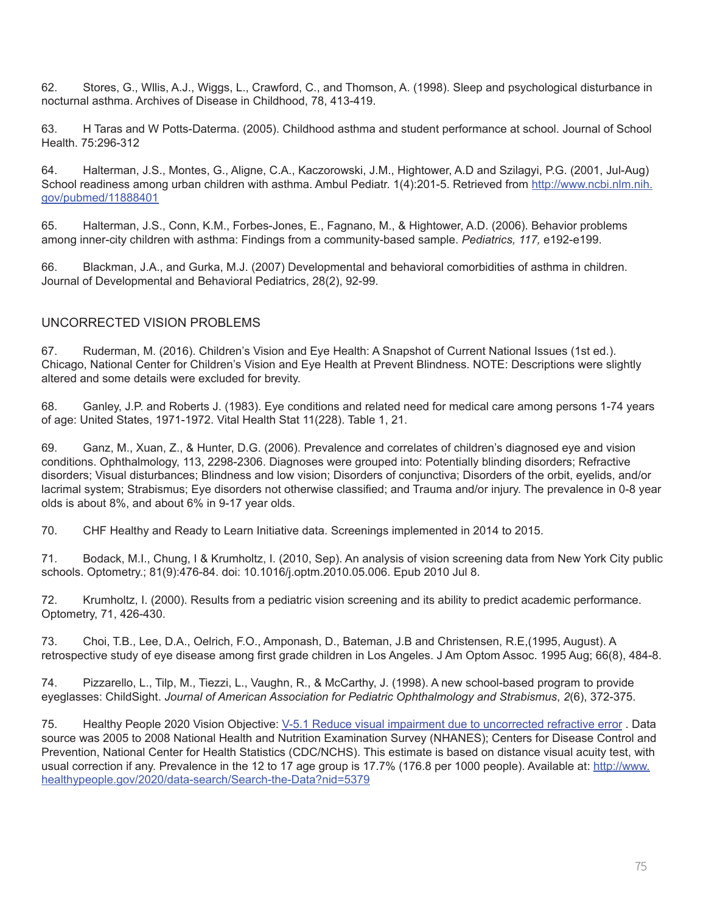62. Stores, G., Wllis, A.J., Wiggs, L., Crawford, C., and Thomson, A. (1998). Sleep and psychological disturbance in nocturnal asthma. Archives of Disease in Childhood, 78, 413-419.

63. H Taras and W Potts-Daterma. (2005). Childhood asthma and student performance at school. Journal of School Health. 75:296-312

64. [Halterman, J.S](http://www.ncbi.nlm.nih.gov/pubmed/?term=Halterman%20JS%5BAuthor%5D&cauthor=true&cauthor_uid=11888401)., [Montes, G.](http://www.ncbi.nlm.nih.gov/pubmed/?term=Montes%20G%5BAuthor%5D&cauthor=true&cauthor_uid=11888401), [Aligne, C.A](http://www.ncbi.nlm.nih.gov/pubmed/?term=Aligne%20CA%5BAuthor%5D&cauthor=true&cauthor_uid=11888401)., [Kaczorowski, J.M.](http://www.ncbi.nlm.nih.gov/pubmed/?term=Kaczorowski%20JM%5BAuthor%5D&cauthor=true&cauthor_uid=11888401), [Hightower, A.D](http://www.ncbi.nlm.nih.gov/pubmed/?term=Hightower%20AD%5BAuthor%5D&cauthor=true&cauthor_uid=11888401) and [Szilagyi, P.G](http://www.ncbi.nlm.nih.gov/pubmed/?term=Szilagyi%20PG%5BAuthor%5D&cauthor=true&cauthor_uid=11888401). (2001, Jul-Aug) School readiness among urban children with asthma. [Ambul Pediatr.](http://www.ncbi.nlm.nih.gov/pubmed/11888401) 1(4):201-5. Retrieved from [http://www.ncbi.nlm.nih.](http://www.ncbi.nlm.nih.gov/pubmed/11888401) [gov/pubmed/11888401](http://www.ncbi.nlm.nih.gov/pubmed/11888401)

65. [Halterman, J.S](http://www.ncbi.nlm.nih.gov/pubmed/?term=Halterman%20JS%5BAuthor%5D&cauthor=true&cauthor_uid=11888401)., Conn, K.M., Forbes-Jones, E., Fagnano, M., & Hightower, A.D. (2006). Behavior problems among inner-city children with asthma: Findings from a community-based sample. *Pediatrics, 117,* e192-e199.

66. Blackman, J.A., and Gurka, M.J. (2007) Developmental and behavioral comorbidities of asthma in children. Journal of Developmental and Behavioral Pediatrics, 28(2), 92-99.

#### UNCORRECTED VISION PROBLEMS

67. Ruderman, M. (2016). Children's Vision and Eye Health: A Snapshot of Current National Issues (1st ed.). Chicago, National Center for Children's Vision and Eye Health at Prevent Blindness. NOTE: Descriptions were slightly altered and some details were excluded for brevity.

68. Ganley, J.P. and Roberts J. (1983). Eye conditions and related need for medical care among persons 1-74 years of age: United States, 1971-1972. Vital Health Stat 11(228). Table 1, 21.

69. Ganz, M., Xuan, Z., & Hunter, D.G. (2006). Prevalence and correlates of children's diagnosed eye and vision conditions. Ophthalmology, 113, 2298-2306. Diagnoses were grouped into: Potentially blinding disorders; Refractive disorders; Visual disturbances; Blindness and low vision; Disorders of conjunctiva; Disorders of the orbit, eyelids, and/or lacrimal system; Strabismus; Eye disorders not otherwise classified; and Trauma and/or injury. The prevalence in 0-8 year olds is about 8%, and about 6% in 9-17 year olds.

70. CHF Healthy and Ready to Learn Initiative data. Screenings implemented in 2014 to 2015.

71. [Bodack, M.I.](http://www.ncbi.nlm.nih.gov/pubmed?term=Bodack%20MI%5BAuthor%5D&cauthor=true&cauthor_uid=20619746), [Chung, I](http://www.ncbi.nlm.nih.gov/pubmed?term=Chung%20I%5BAuthor%5D&cauthor=true&cauthor_uid=20619746) & [Krumholtz, I.](http://www.ncbi.nlm.nih.gov/pubmed?term=Krumholtz%20I%5BAuthor%5D&cauthor=true&cauthor_uid=20619746) (2010, Sep). An analysis of vision screening data from New York City public schools. Optometry.; 81(9):476-84. doi: 10.1016/j.optm.2010.05.006. Epub 2010 Jul 8.

72. Krumholtz, I. (2000). Results from a pediatric vision screening and its ability to predict academic performance. Optometry, 71, 426-430.

73. Choi, T.B., Lee, D.A., Oelrich, F.O., Amponash, D., Bateman, J.B and Christensen, R.E,(1995, August). A retrospective study of eye disease among first grade children in Los Angeles. J Am Optom Assoc. 1995 Aug; 66(8), 484-8.

74. Pizzarello, L., Tilp, M., Tiezzi, L., Vaughn, R., & McCarthy, J. (1998). A new school-based program to provide eyeglasses: ChildSight. *Journal of American Association for Pediatric Ophthalmology and Strabismus*, *2*(6), 372-375.

75. Healthy People 2020 Vision Objective: V-5.1 Reduce visual impairment due to uncorrected refractive error . Data source was 2005 to 2008 National Health and Nutrition Examination Survey (NHANES); Centers for Disease Control and Prevention, National Center for Health Statistics (CDC/NCHS). This estimate is based on distance visual acuity test, with usual correction if any. Prevalence in the 12 to 17 age group is 17.7% (176.8 per 1000 people). Available at: [http://www.](http://www.healthypeople.gov/2020/data-search/Search-the-Data?nid=5379) [healthypeople.gov/2020/data-search/Search-the-Data?nid=5379](http://www.healthypeople.gov/2020/data-search/Search-the-Data?nid=5379)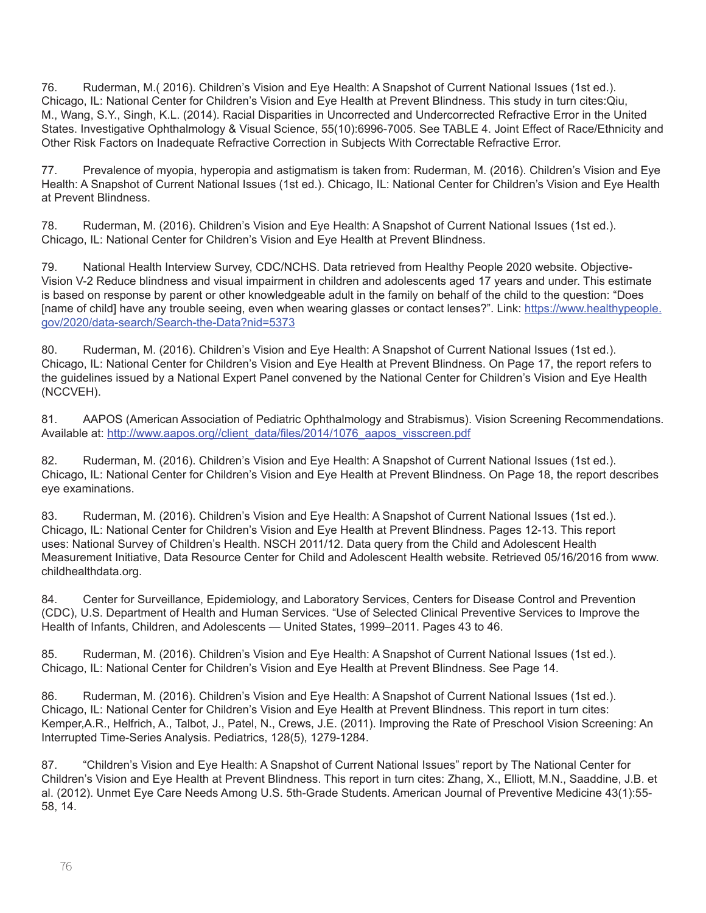76. Ruderman, M.( 2016). Children's Vision and Eye Health: A Snapshot of Current National Issues (1st ed.). Chicago, IL: National Center for Children's Vision and Eye Health at Prevent Blindness. This study in turn cites:Qiu, M., Wang, S.Y., Singh, K.L. (2014). Racial Disparities in Uncorrected and Undercorrected Refractive Error in the United States. Investigative Ophthalmology & Visual Science, 55(10):6996-7005. See TABLE 4. Joint Effect of Race/Ethnicity and Other Risk Factors on Inadequate Refractive Correction in Subjects With Correctable Refractive Error.

77. Prevalence of myopia, hyperopia and astigmatism is taken from: Ruderman, M. (2016). Children's Vision and Eye Health: A Snapshot of Current National Issues (1st ed.). Chicago, IL: National Center for Children's Vision and Eye Health at Prevent Blindness.

78. Ruderman, M. (2016). Children's Vision and Eye Health: A Snapshot of Current National Issues (1st ed.). Chicago, IL: National Center for Children's Vision and Eye Health at Prevent Blindness.

79. National Health Interview Survey, CDC/NCHS. Data retrieved from Healthy People 2020 website. Objective-Vision V-2 Reduce blindness and visual impairment in children and adolescents aged 17 years and under. This estimate is based on response by parent or other knowledgeable adult in the family on behalf of the child to the question: "Does [name of child] have any trouble seeing, even when wearing glasses or contact lenses?". Link: [https://www.healthypeople.](https://www.healthypeople.gov/2020/data-search/Search-the-Data?nid=5373) [gov/2020/data-search/Search-the-Data?nid=5373](https://www.healthypeople.gov/2020/data-search/Search-the-Data?nid=5373)

80. Ruderman, M. (2016). Children's Vision and Eye Health: A Snapshot of Current National Issues (1st ed.). Chicago, IL: National Center for Children's Vision and Eye Health at Prevent Blindness. On Page 17, the report refers to the guidelines issued by a National Expert Panel convened by the National Center for Children's Vision and Eye Health (NCCVEH).

81. AAPOS (American Association of Pediatric Ophthalmology and Strabismus). Vision Screening Recommendations. Available at: [http://www.aapos.org//client\\_data/files/2014/1076\\_aapos\\_visscreen.pdf](http://www.aapos.org//client_data/files/2014/1076_aapos_visscreen.pdf)

82. Ruderman, M. (2016). Children's Vision and Eye Health: A Snapshot of Current National Issues (1st ed.). Chicago, IL: National Center for Children's Vision and Eye Health at Prevent Blindness. On Page 18, the report describes eye examinations.

83. Ruderman, M. (2016). Children's Vision and Eye Health: A Snapshot of Current National Issues (1st ed.). Chicago, IL: National Center for Children's Vision and Eye Health at Prevent Blindness. Pages 12-13. This report uses: National Survey of Children's Health. NSCH 2011/12. Data query from the Child and Adolescent Health Measurement Initiative, Data Resource Center for Child and Adolescent Health website. Retrieved 05/16/2016 from www. childhealthdata.org.

84. Center for Surveillance, Epidemiology, and Laboratory Services, Centers for Disease Control and Prevention (CDC), U.S. Department of Health and Human Services. "Use of Selected Clinical Preventive Services to Improve the Health of Infants, Children, and Adolescents — United States, 1999–2011. Pages 43 to 46.

85. Ruderman, M. (2016). Children's Vision and Eye Health: A Snapshot of Current National Issues (1st ed.). Chicago, IL: National Center for Children's Vision and Eye Health at Prevent Blindness. See Page 14.

86. Ruderman, M. (2016). Children's Vision and Eye Health: A Snapshot of Current National Issues (1st ed.). Chicago, IL: National Center for Children's Vision and Eye Health at Prevent Blindness. This report in turn cites: Kemper,A.R., Helfrich, A., Talbot, J., Patel, N., Crews, J.E. (2011). Improving the Rate of Preschool Vision Screening: An Interrupted Time-Series Analysis. Pediatrics, 128(5), 1279-1284.

87. "Children's Vision and Eye Health: A Snapshot of Current National Issues" report by The National Center for Children's Vision and Eye Health at Prevent Blindness. This report in turn cites: Zhang, X., Elliott, M.N., Saaddine, J.B. et al. (2012). Unmet Eye Care Needs Among U.S. 5th-Grade Students. American Journal of Preventive Medicine 43(1):55- 58, 14.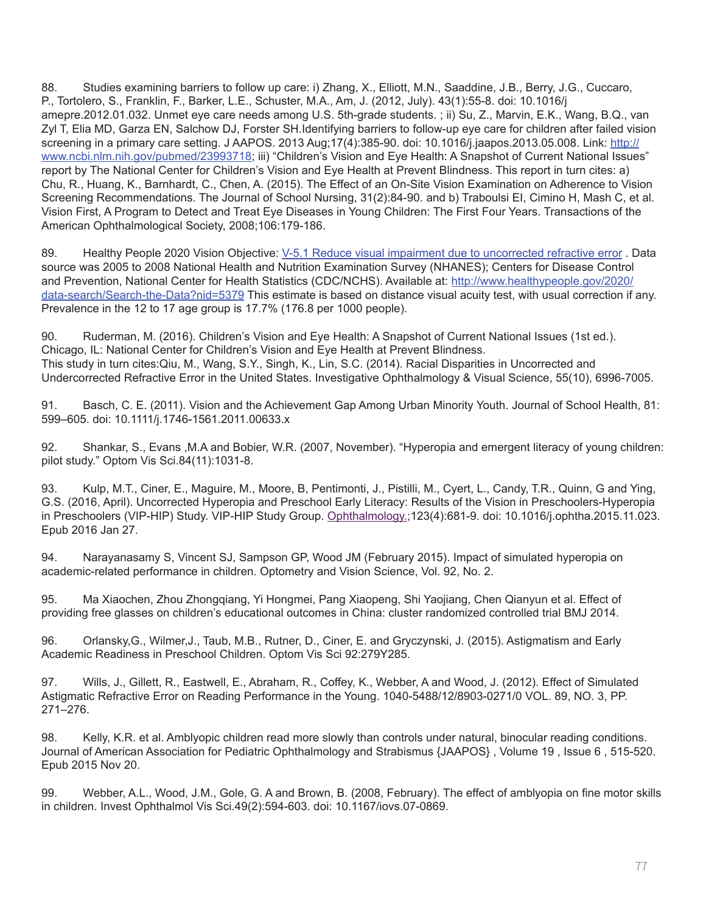88. Studies examining barriers to follow up care: i) [Zhang, X](http://www.ncbi.nlm.nih.gov/pubmed/?term=Zhang%20X%5BAuthor%5D&cauthor=true&cauthor_uid=22704746)., [Elliott, M.N](http://www.ncbi.nlm.nih.gov/pubmed/?term=Elliott%20MN%5BAuthor%5D&cauthor=true&cauthor_uid=22704746)., [Saaddine, J.B.](http:///h), [Berry, J.G](http://www.ncbi.nlm.nih.gov/pubmed/?term=Berry%20JG%5BAuthor%5D&cauthor=true&cauthor_uid=22704746)., [Cuccaro,](http://www.ncbi.nlm.nih.gov/pubmed/?term=Cuccaro%20P%5BAuthor%5D&cauthor=true&cauthor_uid=22704746)  [P](http://www.ncbi.nlm.nih.gov/pubmed/?term=Cuccaro%20P%5BAuthor%5D&cauthor=true&cauthor_uid=22704746)., [Tortolero, S.](http:///h), [Franklin, F](http://www.ncbi.nlm.nih.gov/pubmed/?term=Franklin%20F%5BAuthor%5D&cauthor=true&cauthor_uid=22704746)., [Barker, L.E.](http://www.ncbi.nlm.nih.gov/pubmed/?term=Barker%20LE%5BAuthor%5D&cauthor=true&cauthor_uid=22704746), [Schuster, M.A.](http://www.ncbi.nlm.nih.gov/pubmed/?term=Schuster%20MA%5BAuthor%5D&cauthor=true&cauthor_uid=22704746), [Am, J.](http://www.ncbi.nlm.nih.gov/pubmed/22704746) (2012, July). 43(1):55-8. doi: 10.1016/j amepre.2012.01.032. Unmet eye care needs among U.S. 5th-grade students. ; ii) [Su](http://www.ncbi.nlm.nih.gov/pubmed/?term=Su%20Z%5BAuthor%5D&cauthor=true&cauthor_uid=23993718), Z., Marvin, E.K., Wang, B.Q., van Zyl T, Elia MD, Garza EN, Salchow DJ, Forster SH.Identifying barriers to follow-up eye care for children after failed vision screening in a primary care setting. [J AAPOS.](http://www.ncbi.nlm.nih.gov/pubmed/23993718) 2013 Aug;17(4):385-90. doi: 10.1016/j.jaapos.2013.05.008. Link: [http://](http://www.ncbi.nlm.nih.gov/pubmed/23993718) [www.ncbi.nlm.nih.gov/pubmed/23993718](http://www.ncbi.nlm.nih.gov/pubmed/23993718); iii) "Children's Vision and Eye Health: A Snapshot of Current National Issues" report by The National Center for Children's Vision and Eye Health at Prevent Blindness. This report in turn cites: a) Chu, R., Huang, K., Barnhardt, C., Chen, A. (2015). The Effect of an On-Site Vision Examination on Adherence to Vision Screening Recommendations. The Journal of School Nursing, 31(2):84-90. and b) Traboulsi EI, Cimino H, Mash C, et al. Vision First, A Program to Detect and Treat Eye Diseases in Young Children: The First Four Years. Transactions of the American Ophthalmological Society, 2008;106:179-186.

89. Healthy People 2020 Vision Objective: V-5.1 Reduce visual impairment due to uncorrected refractive error . Data source was 2005 to 2008 National Health and Nutrition Examination Survey (NHANES); Centers for Disease Control and Prevention, National Center for Health Statistics (CDC/NCHS). Available at: [http://www.healthypeople.gov/2020/](http://www.healthypeople.gov/2020/data-search/Search-the-Data?nid=5379) [data-search/Search-the-Data?nid=5379](http://www.healthypeople.gov/2020/data-search/Search-the-Data?nid=5379) This estimate is based on distance visual acuity test, with usual correction if any. Prevalence in the 12 to 17 age group is 17.7% (176.8 per 1000 people).

90. Ruderman, M. (2016). Children's Vision and Eye Health: A Snapshot of Current National Issues (1st ed.). Chicago, IL: National Center for Children's Vision and Eye Health at Prevent Blindness. This study in turn cites:Qiu, M., Wang, S.Y., Singh, K., Lin, S.C. (2014). Racial Disparities in Uncorrected and Undercorrected Refractive Error in the United States. Investigative Ophthalmology & Visual Science, 55(10), 6996-7005.

91. Basch, C. E. (2011). Vision and the Achievement Gap Among Urban Minority Youth. Journal of School Health, 81: 599–605. doi: 10.1111/j.1746-1561.2011.00633.x

92. Shankar, S., Evans ,M.A and Bobier, W.R. (2007, November). "Hyperopia and emergent literacy of young children: pilot study." Optom Vis Sci.84(11):1031-8.

93. Kulp, M.T., Ciner, E., Maguire, M., Moore, B, Pentimonti, J., Pistilli, M., Cyert, L., Candy, T.R., Quinn, G and Ying, G.S. (2016, April). Uncorrected Hyperopia and Preschool Early Literacy: Results of the Vision in Preschoolers-Hyperopia in Preschoolers (VIP-HIP) Study. VIP-HIP Study Group. [Ophthalmology.](http://www.ncbi.nlm.nih.gov/pubmed/26826748);123(4):681-9. doi: 10.1016/j.ophtha.2015.11.023. Epub 2016 Jan 27.

94. Narayanasamy S, Vincent SJ, Sampson GP, Wood JM (February 2015). Impact of simulated hyperopia on academic-related performance in children. Optometry and Vision Science, Vol. 92, No. 2.

95. Ma Xiaochen, Zhou Zhongqiang, Yi Hongmei, Pang Xiaopeng, Shi Yaojiang, Chen Qianyun et al. Effect of providing free glasses on children's educational outcomes in China: cluster randomized controlled trial BMJ 2014.

96. Orlansky,G., Wilmer,J., Taub, M.B., Rutner, D., Ciner, E. and Gryczynski, J. (2015). Astigmatism and Early Academic Readiness in Preschool Children. Optom Vis Sci 92:279Y285.

97. Wills, J., Gillett, R., Eastwell, E., Abraham, R., Coffey, K., Webber, A and Wood, J. (2012). Effect of Simulated Astigmatic Refractive Error on Reading Performance in the Young. 1040-5488/12/8903-0271/0 VOL. 89, NO. 3, PP. 271–276.

98. Kelly, K.R. et al. Amblyopic children read more slowly than controls under natural, binocular reading conditions. Journal of American Association for Pediatric Ophthalmology and Strabismus {JAAPOS} , Volume 19 , Issue 6 , 515-520. Epub 2015 Nov 20.

99. Webber, A.L., Wood, J.M., Gole, G. A and Brown, B. (2008, February). The effect of amblyopia on fine motor skills in children. Invest Ophthalmol Vis Sci.49(2):594-603. doi: 10.1167/iovs.07-0869.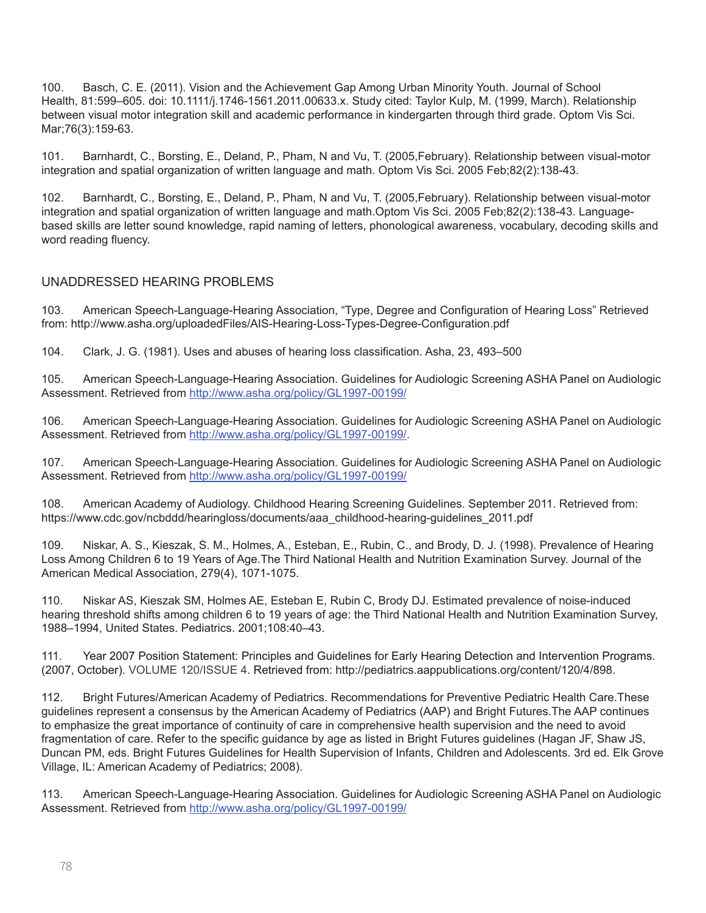100. Basch, C. E. (2011). Vision and the Achievement Gap Among Urban Minority Youth. Journal of School Health, 81:599–605. doi: 10.1111/j.1746-1561.2011.00633.x. Study cited: Taylor Kulp, M. (1999, March). Relationship between visual motor integration skill and academic performance in kindergarten through third grade. Optom Vis Sci. Mar;76(3):159-63.

101. Barnhardt, C., Borsting, E., Deland, P., Pham, N and Vu, T. (2005,February). Relationship between visual-motor integration and spatial organization of written language and math. Optom Vis Sci. 2005 Feb;82(2):138-43.

102. Barnhardt, C., Borsting, E., Deland, P., Pham, N and Vu, T. (2005,February). Relationship between visual-motor integration and spatial organization of written language and math.[Optom Vis Sci.](http://www.ncbi.nlm.nih.gov/pubmed/?term=Relationship+between+Visual+motor+integration+and+spatial+organization+of+written+language+and+math) 2005 Feb;82(2):138-43. Languagebased skills are letter sound knowledge, rapid naming of letters, phonological awareness, vocabulary, decoding skills and word reading fluency.

#### UNADDRESSED HEARING PROBLEMS

103. American Speech-Language-Hearing Association, "Type, Degree and Configuration of Hearing Loss" Retrieved from: http://www.asha.org/uploadedFiles/AIS-Hearing-Loss-Types-Degree-Configuration.pdf

104. Clark, J. G. (1981). Uses and abuses of hearing loss classification. Asha, 23, 493–500

105. American Speech-Language-Hearing Association. Guidelines for Audiologic Screening ASHA Panel on Audiologic Assessment. Retrieved from<http://www.asha.org/policy/GL1997-00199/>

106. American Speech-Language-Hearing Association. Guidelines for Audiologic Screening ASHA Panel on Audiologic Assessment. Retrieved from<http://www.asha.org/policy/GL1997-00199/>.

107. American Speech-Language-Hearing Association. Guidelines for Audiologic Screening ASHA Panel on Audiologic Assessment. Retrieved from<http://www.asha.org/policy/GL1997-00199/>

108. American Academy of Audiology. Childhood Hearing Screening Guidelines. September 2011. Retrieved from: https://www.cdc.gov/ncbddd/hearingloss/documents/aaa\_childhood-hearing-guidelines\_2011.pdf

109. Niskar, A. S., Kieszak, S. M., Holmes, A., Esteban, E., Rubin, C., and Brody, D. J. (1998). Prevalence of Hearing Loss Among Children 6 to 19 Years of Age.The Third National Health and Nutrition Examination Survey. Journal of the American Medical Association, 279(4), 1071-1075.

110. Niskar AS, Kieszak SM, Holmes AE, Esteban E, Rubin C, Brody DJ. Estimated prevalence of noise-induced hearing threshold shifts among children 6 to 19 years of age: the Third National Health and Nutrition Examination Survey, 1988–1994, United States. Pediatrics. 2001;108:40–43.

111. Year 2007 Position Statement: Principles and Guidelines for Early Hearing Detection and Intervention Programs. (2007, October). [VOLUME 120/ISSUE 4](http:///h). Retrieved from: http://pediatrics.aappublications.org/content/120/4/898.

112. Bright Futures/American Academy of Pediatrics. Recommendations for Preventive Pediatric Health Care.These guidelines represent a consensus by the American Academy of Pediatrics (AAP) and Bright Futures.The AAP continues to emphasize the great importance of continuity of care in comprehensive health supervision and the need to avoid fragmentation of care. Refer to the specific guidance by age as listed in Bright Futures guidelines (Hagan JF, Shaw JS, Duncan PM, eds. Bright Futures Guidelines for Health Supervision of Infants, Children and Adolescents. 3rd ed. Elk Grove Village, IL: American Academy of Pediatrics; 2008).

113. American Speech-Language-Hearing Association. Guidelines for Audiologic Screening ASHA Panel on Audiologic Assessment. Retrieved from<http://www.asha.org/policy/GL1997-00199/>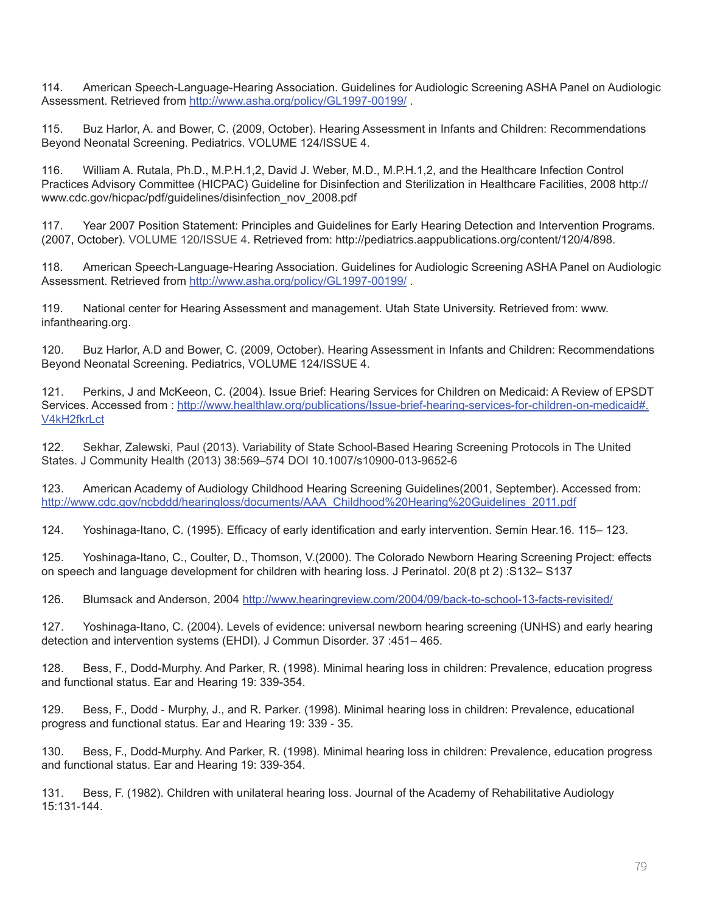114. American Speech-Language-Hearing Association. Guidelines for Audiologic Screening ASHA Panel on Audiologic Assessment. Retrieved from<http://www.asha.org/policy/GL1997-00199/>.

115. Buz Harlor, A. and Bower, C. (2009, October). Hearing Assessment in Infants and Children: Recommendations Beyond Neonatal Screening. [Pediatrics.](http://pediatrics.aappublications.org) [VOLUME 124/ISSUE 4](http://pediatrics.aappublications.org/content/124/4).

116. William A. Rutala, Ph.D., M.P.H.1,2, David J. Weber, M.D., M.P.H.1,2, and the Healthcare Infection Control Practices Advisory Committee (HICPAC) Guideline for Disinfection and Sterilization in Healthcare Facilities, 2008 http:// www.cdc.gov/hicpac/pdf/guidelines/disinfection\_nov\_2008.pdf

117. Year 2007 Position Statement: Principles and Guidelines for Early Hearing Detection and Intervention Programs. (2007, October). [VOLUME 120/ISSUE 4](http:///h). Retrieved from: http://pediatrics.aappublications.org/content/120/4/898.

118. American Speech-Language-Hearing Association. Guidelines for Audiologic Screening ASHA Panel on Audiologic Assessment. Retrieved from<http://www.asha.org/policy/GL1997-00199/> .

119. National center for Hearing Assessment and management. Utah State University. Retrieved from: [www.](http://www.infanthearing.org) [infanthearing.org](http://www.infanthearing.org).

120. Buz Harlor, A.D and Bower, C. (2009, October). Hearing Assessment in Infants and Children: Recommendations Beyond Neonatal Screening. [Pediatrics](http://pediatrics.aappublications.org)[, VOLUME 124/ISSUE 4](http://pediatrics.aappublications.org/content/124/4).

121. Perkins, J and McKeeon, C. (2004). Issue Brief: Hearing Services for Children on Medicaid: A Review of EPSDT Services. Accessed from : http://www.healthlaw.org/publications/Issue-brief-hearing-services-for-children-on-medicaid#. V4kH2fkrLct

122. Sekhar, Zalewski, Paul (2013). Variability of State School-Based Hearing Screening Protocols in The United States. J Community Health (2013) 38:569–574 DOI 10.1007/s10900-013-9652-6

123. American Academy of Audiology Childhood Hearing Screening Guidelines(2001, September). Accessed from: [http://www.cdc.gov/ncbddd/hearingloss/documents/AAA\\_Childhood%20Hearing%20Guidelines\\_2011.pdf](http://www.cdc.gov/ncbddd/hearingloss/documents/AAA_Childhood%20Hearing%20Guidelines_2011.pdf)

124. Yoshinaga-Itano, C. (1995). Efficacy of early identification and early intervention. Semin Hear.16. 115– 123.

125. Yoshinaga-Itano, C., Coulter, D., Thomson, V.(2000). The Colorado Newborn Hearing Screening Project: effects on speech and language development for children with hearing loss. J Perinatol. 20(8 pt 2) :S132– S137

126. Blumsack and Anderson, 2004<http://www.hearingreview.com/2004/09/back-to-school-13-facts-revisited/>

127. Yoshinaga-Itano, C. (2004). Levels of evidence: universal newborn hearing screening (UNHS) and early hearing detection and intervention systems (EHDI). J Commun Disorder. 37 :451– 465.

128. Bess, F., Dodd-Murphy. And Parker, R. (1998). Minimal hearing loss in children: Prevalence, education progress and functional status. Ear and Hearing 19: 339-354.

129. Bess, F., Dodd ‐ Murphy, J., and R. Parker. (1998). Minimal hearing loss in children: Prevalence, educational progress and functional status. Ear and Hearing 19: 339 ‐ 35.

130. Bess, F., Dodd-Murphy. And Parker, R. (1998). Minimal hearing loss in children: Prevalence, education progress and functional status. Ear and Hearing 19: 339-354.

131. Bess, F. (1982). Children with unilateral hearing loss. Journal of the Academy of Rehabilitative Audiology 15:131‐144.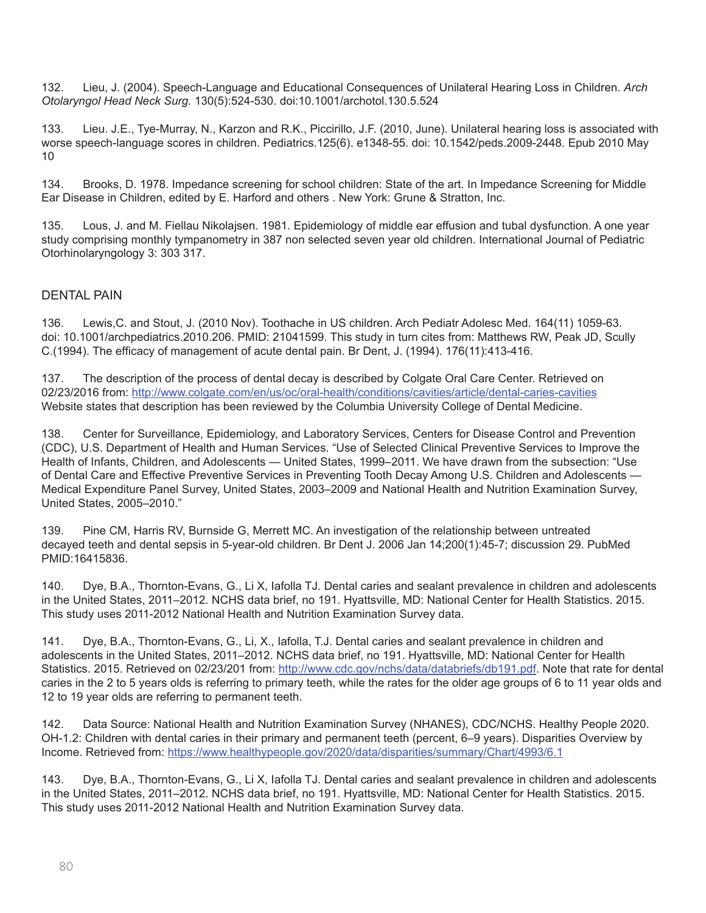132. Lieu, J. (2004). Speech-Language and Educational Consequences of Unilateral Hearing Loss in Children. *Arch Otolaryngol Head Neck Surg.* 130(5):524-530. doi:10.1001/archotol.130.5.524

133. [Lieu. J.E.](http://www.ncbi.nlm.nih.gov/pubmed/?term=Lieu%20JE%5BAuthor%5D&cauthor=true&cauthor_uid=20457680)[, Tye-Murray, N.](http://www.ncbi.nlm.nih.gov/pubmed/?term=Tye-Murray%20N%5BAuthor%5D&cauthor=true&cauthor_uid=20457680)[, Karzon and R.K.](http://www.ncbi.nlm.nih.gov/pubmed/?term=Karzon%20RK%5BAuthor%5D&cauthor=true&cauthor_uid=20457680)[, Piccirillo, J.F.](http://www.ncbi.nlm.nih.gov/pubmed/?term=Piccirillo%20JF%5BAuthor%5D&cauthor=true&cauthor_uid=20457680) (2010, June). Unilateral hearing loss is associated with worse speech-language scores in children. Pediatrics.125(6). e1348-55. doi: 10.1542/peds.2009-2448. Epub 2010 May 10

134. Brooks, D. 1978. Impedance screening for school children: State of the art. In Impedance Screening for Middle Ear Disease in Children, edited by E. Harford and others . New York: Grune & Stratton, Inc.

135. Lous, J. and M. Fiellau Nikolajsen. 1981. Epidemiology of middle ear effusion and tubal dysfunction. A one year study comprising monthly tympanometry in 387 non selected seven year old children. International Journal of Pediatric Otorhinolaryngology 3: 303 317.

#### DENTAL PAIN

136. Lewis,C. and Stout, J. (2010 Nov). Toothache in US children. Arch Pediatr Adolesc Med. 164(11) 1059-63. doi: 10.1001/archpediatrics.2010.206. PMID: 21041599. This study in turn cites from: Matthews RW, Peak JD, Scully C.(1994). The efficacy of management of acute dental pain. Br Dent, J. (1994). 176(11):413-416.

137. The description of the process of dental decay is described by Colgate Oral Care Center. Retrieved on 02/23/2016 from:<http://www.colgate.com/en/us/oc/oral-health/conditions/cavities/article/dental-caries-cavities> Website states that description has been reviewed by the Columbia University College of Dental Medicine.

138. Center for Surveillance, Epidemiology, and Laboratory Services, Centers for Disease Control and Prevention (CDC), U.S. Department of Health and Human Services. "Use of Selected Clinical Preventive Services to Improve the Health of Infants, Children, and Adolescents — United States, 1999–2011. We have drawn from the subsection: "Use of Dental Care and Effective Preventive Services in Preventing Tooth Decay Among U.S. Children and Adolescents — Medical Expenditure Panel Survey, United States, 2003–2009 and National Health and Nutrition Examination Survey, United States, 2005–2010."

139. Pine CM, Harris RV, Burnside G, Merrett MC. An investigation of the relationship between untreated decayed teeth and dental sepsis in 5-year-old children. Br Dent J. 2006 Jan 14;200(1):45-7; discussion 29. PubMed PMID:16415836.

140. Dye, B.A., Thornton-Evans, G., Li X, Iafolla TJ. Dental caries and sealant prevalence in children and adolescents in the United States, 2011–2012. NCHS data brief, no 191. Hyattsville, MD: National Center for Health Statistics. 2015. This study uses 2011-2012 National Health and Nutrition Examination Survey data.

141. Dye, B.A., Thornton-Evans, G., Li, X., Iafolla, T.J. Dental caries and sealant prevalence in children and adolescents in the United States, 2011–2012. NCHS data brief, no 191. Hyattsville, MD: National Center for Health Statistics. 2015. Retrieved on 02/23/201 from: <http://www.cdc.gov/nchs/data/databriefs/db191.pdf>. Note that rate for dental caries in the 2 to 5 years olds is referring to primary teeth, while the rates for the older age groups of 6 to 11 year olds and 12 to 19 year olds are referring to permanent teeth.

142. Data Source: National Health and Nutrition Examination Survey (NHANES), CDC/NCHS. Healthy People 2020. OH-1.2: Children with dental caries in their primary and permanent teeth (percent, 6–9 years). Disparities Overview by Income. Retrieved from:<https://www.healthypeople.gov/2020/data/disparities/summary/Chart/4993/6.1>

143. Dye, B.A., Thornton-Evans, G., Li X, Iafolla TJ. Dental caries and sealant prevalence in children and adolescents in the United States, 2011–2012. NCHS data brief, no 191. Hyattsville, MD: National Center for Health Statistics. 2015. This study uses 2011-2012 National Health and Nutrition Examination Survey data.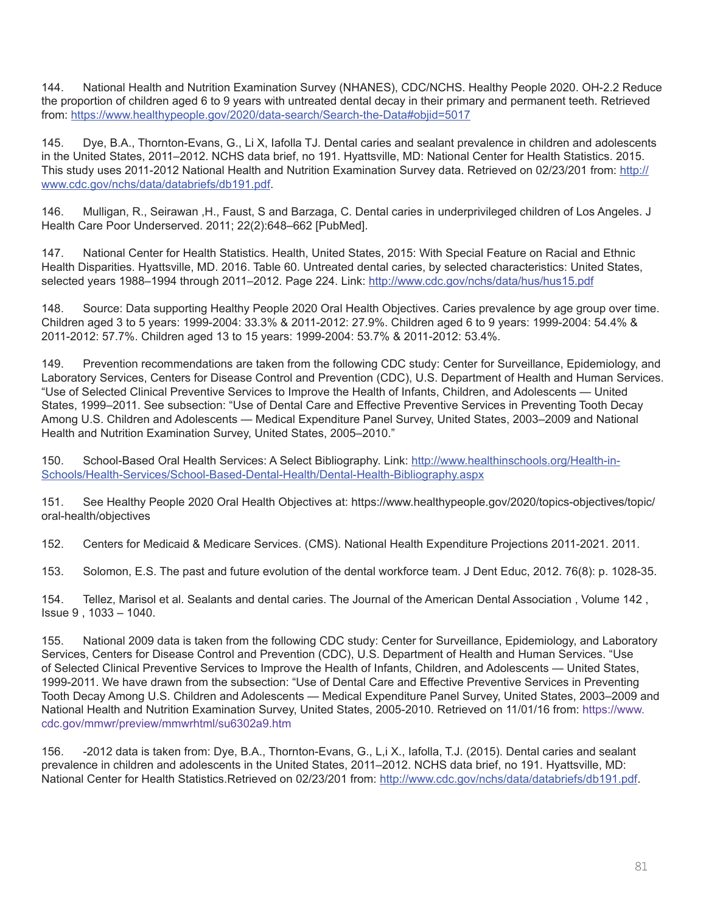144. National Health and Nutrition Examination Survey (NHANES), CDC/NCHS. Healthy People 2020. OH-2.2 Reduce the proportion of children aged 6 to 9 years with untreated dental decay in their primary and permanent teeth. Retrieved from: https://www.healthypeople.gov/2020/data-search/Search-the-Data#objid=5017

145. Dye, B.A., Thornton-Evans, G., Li X, Iafolla TJ. Dental caries and sealant prevalence in children and adolescents in the United States, 2011–2012. NCHS data brief, no 191. Hyattsville, MD: National Center for Health Statistics. 2015. This study uses 2011-2012 National Health and Nutrition Examination Survey data. Retrieved on 02/23/201 from: [http://](http://www.cdc.gov/nchs/data/databriefs/db191.pdf) [www.cdc.gov/nchs/data/databriefs/db191.pdf](http://www.cdc.gov/nchs/data/databriefs/db191.pdf).

146. Mulligan, R., Seirawan ,H., Faust, S and Barzaga, C. Dental caries in underprivileged children of Los Angeles. J Health Care Poor Underserved. 2011; 22(2):648–662 [PubMed].

147. National Center for Health Statistics. Health, United States, 2015: With Special Feature on Racial and Ethnic Health Disparities. Hyattsville, MD. 2016. Table 60. Untreated dental caries, by selected characteristics: United States, selected years 1988–1994 through 2011–2012. Page 224. Link: <http://www.cdc.gov/nchs/data/hus/hus15.pdf>

148. Source: Data supporting Healthy People 2020 Oral Health Objectives. Caries prevalence by age group over time. Children aged 3 to 5 years: 1999-2004: 33.3% & 2011-2012: 27.9%. Children aged 6 to 9 years: 1999-2004: 54.4% & 2011-2012: 57.7%. Children aged 13 to 15 years: 1999-2004: 53.7% & 2011-2012: 53.4%.

149. Prevention recommendations are taken from the following CDC study: Center for Surveillance, Epidemiology, and Laboratory Services, Centers for Disease Control and Prevention (CDC), U.S. Department of Health and Human Services. "Use of Selected Clinical Preventive Services to Improve the Health of Infants, Children, and Adolescents — United States, 1999–2011. See subsection: "Use of Dental Care and Effective Preventive Services in Preventing Tooth Decay Among U.S. Children and Adolescents — Medical Expenditure Panel Survey, United States, 2003–2009 and National Health and Nutrition Examination Survey, United States, 2005–2010."

150. School-Based Oral Health Services: A Select Bibliography. Link: [http://www.healthinschools.org/Health-in-](http://www.healthinschools.org/Health-in-Schools/Health-Services/School-Based-Dental-Health/Dental-Health-Bibliography.aspx)[Schools/Health-Services/School-Based-Dental-Health/Dental-Health-Bibliography.aspx](http://www.healthinschools.org/Health-in-Schools/Health-Services/School-Based-Dental-Health/Dental-Health-Bibliography.aspx)

151. See Healthy People 2020 Oral Health Objectives at: https://www.healthypeople.gov/2020/topics-objectives/topic/ oral-health/objectives

152. Centers for Medicaid & Medicare Services. (CMS). National Health Expenditure Projections 2011-2021. 2011.

153. Solomon, E.S. The past and future evolution of the dental workforce team. J Dent Educ, 2012. 76(8): p. 1028-35.

154. Tellez, Marisol et al. Sealants and dental caries. The Journal of the American Dental Association , Volume 142 , Issue 9 , 1033 – 1040.

155. National 2009 data is taken from the following CDC study: Center for Surveillance, Epidemiology, and Laboratory Services, Centers for Disease Control and Prevention (CDC), U.S. Department of Health and Human Services. "Use of Selected Clinical Preventive Services to Improve the Health of Infants, Children, and Adolescents — United States, 1999-2011. We have drawn from the subsection: "Use of Dental Care and Effective Preventive Services in Preventing Tooth Decay Among U.S. Children and Adolescents — Medical Expenditure Panel Survey, United States, 2003–2009 and National Health and Nutrition Examination Survey, United States, 2005-2010. Retrieved on 11/01/16 from: [https://www.](https://www.cdc.gov/mmwr/preview/mmwrhtml/su6302a9.htm) [cdc.gov/mmwr/preview/mmwrhtml/su6302a9.htm](https://www.cdc.gov/mmwr/preview/mmwrhtml/su6302a9.htm)

156. -2012 data is taken from: Dye, B.A., Thornton-Evans, G., L,i X., Iafolla, T.J. (2015). Dental caries and sealant prevalence in children and adolescents in the United States, 2011–2012. NCHS data brief, no 191. Hyattsville, MD: National Center for Health Statistics.Retrieved on 02/23/201 from:<http://www.cdc.gov/nchs/data/databriefs/db191.pdf>.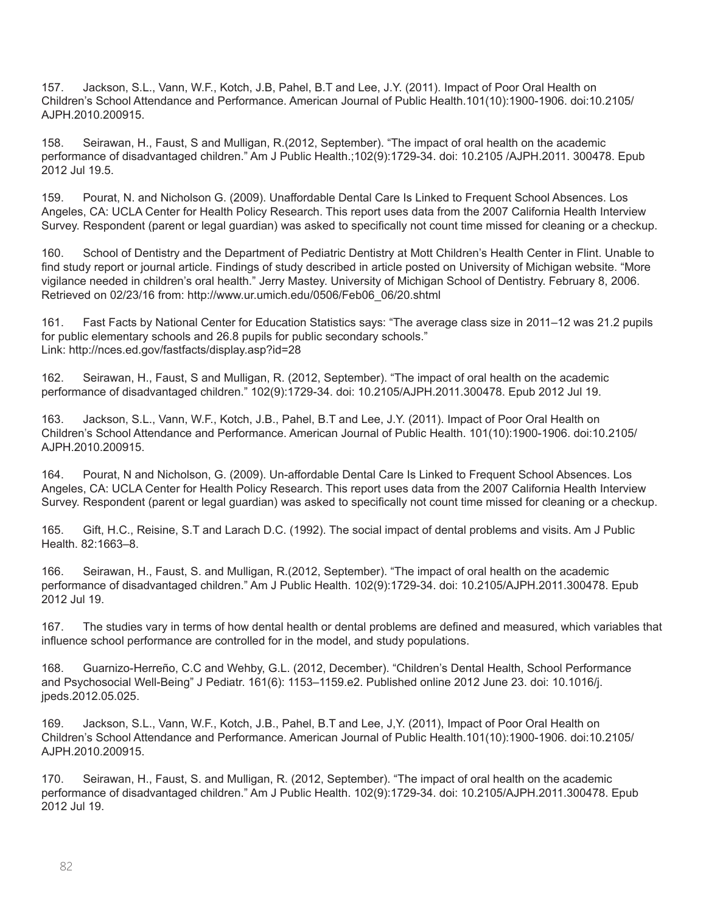157. Jackson, S.L., Vann, W.F., Kotch, J.B, Pahel, B.T and Lee, J.Y. (2011). Impact of Poor Oral Health on Children's School Attendance and Performance. American Journal of Public Health.101(10):1900-1906. doi:10.2105/ AJPH.2010.200915.

158. Seirawan, H., Faust, S and Mulligan, R.(2012, September). "The impact of oral health on the academic performance of disadvantaged children." Am J Public Health.;102(9):1729-34. doi: 10.2105 /AJPH.2011. 300478. Epub 2012 Jul 19.5.

159. Pourat, N. and Nicholson G. (2009). Unaffordable Dental Care Is Linked to Frequent School Absences. Los Angeles, CA: UCLA Center for Health Policy Research. This report uses data from the 2007 California Health Interview Survey. Respondent (parent or legal guardian) was asked to specifically not count time missed for cleaning or a checkup.

160. School of Dentistry and the Department of Pediatric Dentistry at Mott Children's Health Center in Flint. Unable to find study report or journal article. Findings of study described in article posted on University of Michigan website. "More vigilance needed in children's oral health." Jerry Mastey. University of Michigan School of Dentistry. February 8, 2006. Retrieved on 02/23/16 from: http://www.ur.umich.edu/0506/Feb06\_06/20.shtml

161. Fast Facts by National Center for Education Statistics says: "The average class size in 2011–12 was 21.2 pupils for public elementary schools and 26.8 pupils for public secondary schools." Link: http://nces.ed.gov/fastfacts/display.asp?id=28

162. Seirawan, H., Faust, S and Mulligan, R. (2012, September). "The impact of oral health on the academic performance of disadvantaged children." 102(9):1729-34. doi: 10.2105/AJPH.2011.300478. Epub 2012 Jul 19.

163. Jackson, S.L., Vann, W.F., Kotch, J.B., Pahel, B.T and Lee, J.Y. (2011). Impact of Poor Oral Health on Children's School Attendance and Performance. American Journal of Public Health. 101(10):1900-1906. doi:10.2105/ AJPH.2010.200915.

164. Pourat, N and Nicholson, G. (2009). Un-affordable Dental Care Is Linked to Frequent School Absences. Los Angeles, CA: UCLA Center for Health Policy Research. This report uses data from the 2007 California Health Interview Survey. Respondent (parent or legal guardian) was asked to specifically not count time missed for cleaning or a checkup.

165. Gift, H.C., Reisine, S.T and Larach D.C. (1992). The social impact of dental problems and visits. Am J Public Health. 82:1663–8.

166. Seirawan, H., Faust, S. and Mulligan, R.(2012, September). "The impact of oral health on the academic performance of disadvantaged children." Am J Public Health. 102(9):1729-34. doi: 10.2105/AJPH.2011.300478. Epub 2012 Jul 19.

167. The studies vary in terms of how dental health or dental problems are defined and measured, which variables that influence school performance are controlled for in the model, and study populations.

168. Guarnizo-Herreño, C.C and Wehby, G.L. (2012, December). "Children's Dental Health, School Performance and Psychosocial Well-Being" J Pediatr. 161(6): 1153–1159.e2. Published online 2012 June 23. doi: 10.1016/j. jpeds.2012.05.025.

169. Jackson, S.L., Vann, W.F., Kotch, J.B., Pahel, B.T and Lee, J,Y. (2011), Impact of Poor Oral Health on Children's School Attendance and Performance. American Journal of Public Health.101(10):1900-1906. doi:10.2105/ AJPH.2010.200915.

170. Seirawan, H., Faust, S. and Mulligan, R. (2012, September). "The impact of oral health on the academic performance of disadvantaged children." Am J Public Health. 102(9):1729-34. doi: 10.2105/AJPH.2011.300478. Epub 2012 Jul 19.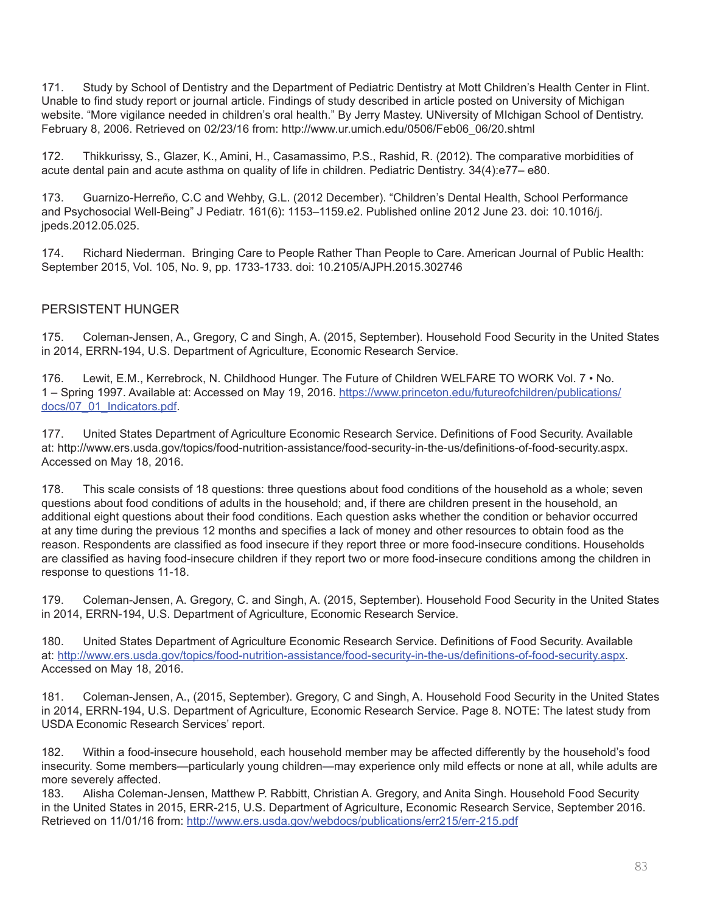171. Study by School of Dentistry and the Department of Pediatric Dentistry at Mott Children's Health Center in Flint. Unable to find study report or journal article. Findings of study described in article posted on University of Michigan website. "More vigilance needed in children's oral health." By Jerry Mastey. UNiversity of MIchigan School of Dentistry. February 8, 2006. Retrieved on 02/23/16 from: http://www.ur.umich.edu/0506/Feb06\_06/20.shtml

172. Thikkurissy, S., Glazer, K., Amini, H., Casamassimo, P.S., Rashid, R. (2012). The comparative morbidities of acute dental pain and acute asthma on quality of life in children. Pediatric Dentistry. 34(4):e77– e80.

173. Guarnizo-Herreño, C.C and Wehby, G.L. (2012 December). "Children's Dental Health, School Performance and Psychosocial Well-Being" J Pediatr. 161(6): 1153–1159.e2. Published online 2012 June 23. doi: 10.1016/j. jpeds.2012.05.025.

174. Richard Niederman. Bringing Care to People Rather Than People to Care. American Journal of Public Health: September 2015, Vol. 105, No. 9, pp. 1733-1733. doi: 10.2105/AJPH.2015.302746

## PERSISTENT HUNGER

175. Coleman-Jensen, A., Gregory, C and Singh, A. (2015, September). Household Food Security in the United States in 2014, ERRN-194, U.S. Department of Agriculture, Economic Research Service.

176. Lewit, E.M., Kerrebrock, N. Childhood Hunger. The Future of Children WELFARE TO WORK Vol. 7 • No. 1 – Spring 1997. Available at: Accessed on May 19, 2016. [https://www.princeton.edu/futureofchildren/publications/](https://www.princeton.edu/futureofchildren/publications/docs/07_01_Indicators.pdf) [docs/07\\_01\\_Indicators.pdf](https://www.princeton.edu/futureofchildren/publications/docs/07_01_Indicators.pdf).

177. United States Department of Agriculture Economic Research Service. Definitions of Food Security. Available at: http://www.ers.usda.gov/topics/food-nutrition-assistance/food-security-in-the-us/definitions-of-food-security.aspx. Accessed on May 18, 2016.

178. This scale consists of 18 questions: three questions about food conditions of the household as a whole; seven questions about food conditions of adults in the household; and, if there are children present in the household, an additional eight questions about their food conditions. Each question asks whether the condition or behavior occurred at any time during the previous 12 months and specifies a lack of money and other resources to obtain food as the reason. Respondents are classified as food insecure if they report three or more food-insecure conditions. Households are classified as having food-insecure children if they report two or more food-insecure conditions among the children in response to questions 11-18.

179. Coleman-Jensen, A. Gregory, C. and Singh, A. (2015, September). Household Food Security in the United States in 2014, ERRN-194, U.S. Department of Agriculture, Economic Research Service.

180. United States Department of Agriculture Economic Research Service. Definitions of Food Security. Available at: <http://www.ers.usda.gov/topics/food-nutrition-assistance/food-security-in-the-us/definitions-of-food-security.aspx>. Accessed on May 18, 2016.

181. Coleman-Jensen, A., (2015, September). Gregory, C and Singh, A. Household Food Security in the United States in 2014, ERRN-194, U.S. Department of Agriculture, Economic Research Service. Page 8. NOTE: The latest study from USDA Economic Research Services' report.

182. Within a food-insecure household, each household member may be affected differently by the household's food insecurity. Some members—particularly young children—may experience only mild effects or none at all, while adults are more severely affected.

183. Alisha Coleman-Jensen, Matthew P. Rabbitt, Christian A. Gregory, and Anita Singh. Household Food Security in the United States in 2015, ERR-215, U.S. Department of Agriculture, Economic Research Service, September 2016. Retrieved on 11/01/16 from: <http://www.ers.usda.gov/webdocs/publications/err215/err-215.pdf>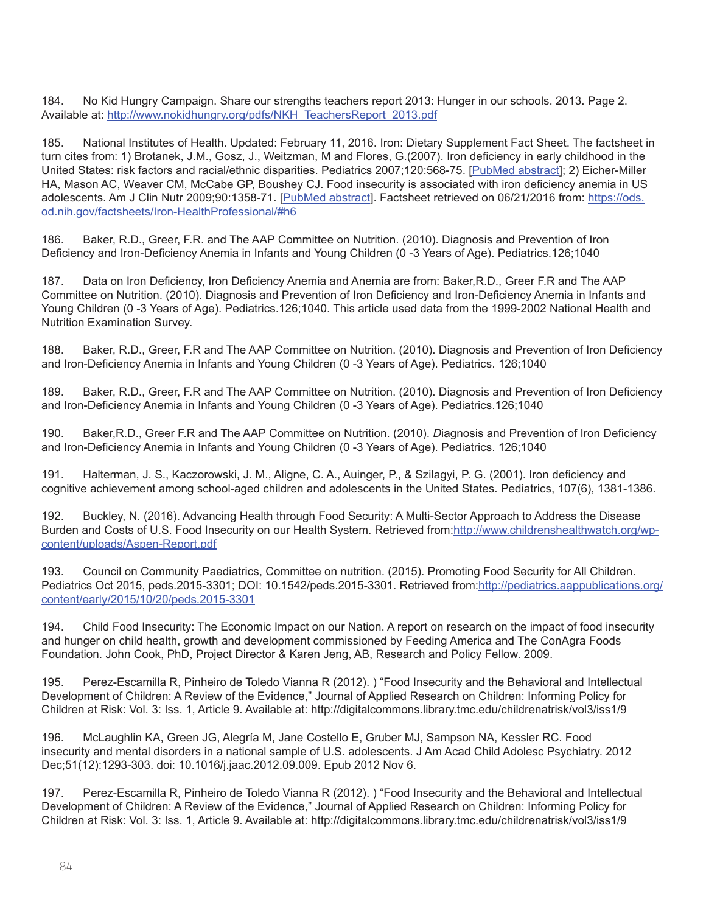184. No Kid Hungry Campaign. Share our strengths teachers report 2013: Hunger in our schools. 2013. Page 2. Available at: [http://www.nokidhungry.org/pdfs/NKH\\_TeachersReport\\_2013.pdf](http://www.nokidhungry.org/pdfs/NKH_TeachersReport_2013.pdf)

185. National Institutes of Health. Updated: February 11, 2016. Iron: Dietary Supplement Fact Sheet. The factsheet in turn cites from: 1) Brotanek, J.M., Gosz, J., Weitzman, M and Flores, G.(2007). Iron deficiency in early childhood in the United States: risk factors and racial/ethnic disparities. Pediatrics 2007;120:568-75. [[PubMed abstract](http://www.ncbi.nlm.nih.gov/pubmed/17766530?dopt=Abstract)]; 2) Eicher-Miller HA, Mason AC, Weaver CM, McCabe GP, Boushey CJ. Food insecurity is associated with iron deficiency anemia in US adolescents. Am J Clin Nutr 2009;90:1358-71. [[PubMed abstract](http://www.ncbi.nlm.nih.gov/pubmed/19776137?dopt=Abstract)]. Factsheet retrieved on 06/21/2016 from: https://ods. od.nih.gov/factsheets/Iron-HealthProfessional/#h6

186. Baker, R.D., Greer, F.R. and The AAP Committee on Nutrition. (2010). Diagnosis and Prevention of Iron Deficiency and Iron-Deficiency Anemia in Infants and Young Children (0 -3 Years of Age). Pediatrics.126;1040

187. Data on Iron Deficiency, Iron Deficiency Anemia and Anemia are from: Baker,R.D., Greer F.R and The AAP Committee on Nutrition. (2010). Diagnosis and Prevention of Iron Deficiency and Iron-Deficiency Anemia in Infants and Young Children (0 -3 Years of Age). Pediatrics.126;1040. This article used data from the 1999-2002 National Health and Nutrition Examination Survey.

188. Baker, R.D., Greer, F.R and The AAP Committee on Nutrition. (2010). Diagnosis and Prevention of Iron Deficiency and Iron-Deficiency Anemia in Infants and Young Children (0 -3 Years of Age). Pediatrics. 126;1040

189. Baker, R.D., Greer, F.R and The AAP Committee on Nutrition. (2010). Diagnosis and Prevention of Iron Deficiency and Iron-Deficiency Anemia in Infants and Young Children (0 -3 Years of Age). Pediatrics.126;1040

190. Baker,R.D., Greer F.R and The AAP Committee on Nutrition. (2010). *D*iagnosis and Prevention of Iron Deficiency and Iron-Deficiency Anemia in Infants and Young Children (0 -3 Years of Age). Pediatrics. 126;1040

191. Halterman, J. S., Kaczorowski, J. M., Aligne, C. A., Auinger, P., & Szilagyi, P. G. (2001). Iron deficiency and cognitive achievement among school-aged children and adolescents in the United States. Pediatrics, 107(6), 1381-1386.

192. Buckley, N. (2016). Advancing Health through Food Security: A Multi-Sector Approach to Address the Disease Burden and Costs of U.S. Food Insecurity on our Health System. Retrieved from[:http://www.childrenshealthwatch.org/wp](http://www.childrenshealthwatch.org/wp-content/uploads/Aspen-Report.pdf)[content/uploads/Aspen-Report.pdf](http://www.childrenshealthwatch.org/wp-content/uploads/Aspen-Report.pdf)

193. Council on Community Paediatrics, Committee on nutrition. (2015). Promoting Food Security for All Children. Pediatrics Oct 2015, peds.2015-3301; DOI: 10.1542/peds.2015-3301. Retrieved from[:http://pediatrics.aappublications.org/](http://pediatrics.aappublications.org/content/early/2015/10/20/peds.2015-3301) [content/early/2015/10/20/peds.2015-3301](http://pediatrics.aappublications.org/content/early/2015/10/20/peds.2015-3301)

194. Child Food Insecurity: The Economic Impact on our Nation. A report on research on the impact of food insecurity and hunger on child health, growth and development commissioned by Feeding America and The ConAgra Foods Foundation. John Cook, PhD, Project Director & Karen Jeng, AB, Research and Policy Fellow. 2009.

195. Perez-Escamilla R, Pinheiro de Toledo Vianna R (2012). ) "Food Insecurity and the Behavioral and Intellectual Development of Children: A Review of the Evidence," Journal of Applied Research on Children: Informing Policy for Children at Risk: Vol. 3: Iss. 1, Article 9. Available at: http://digitalcommons.library.tmc.edu/childrenatrisk/vol3/iss1/9

196. McLaughlin KA, Green JG, Alegría M, Jane Costello E, Gruber MJ, Sampson NA, Kessler RC. Food insecurity and mental disorders in a national sample of U.S. adolescents. J Am Acad Child Adolesc Psychiatry. 2012 Dec;51(12):1293-303. doi: 10.1016/j.jaac.2012.09.009. Epub 2012 Nov 6.

197. Perez-Escamilla R, Pinheiro de Toledo Vianna R (2012). ) "Food Insecurity and the Behavioral and Intellectual Development of Children: A Review of the Evidence," Journal of Applied Research on Children: Informing Policy for Children at Risk: Vol. 3: Iss. 1, Article 9. Available at: http://digitalcommons.library.tmc.edu/childrenatrisk/vol3/iss1/9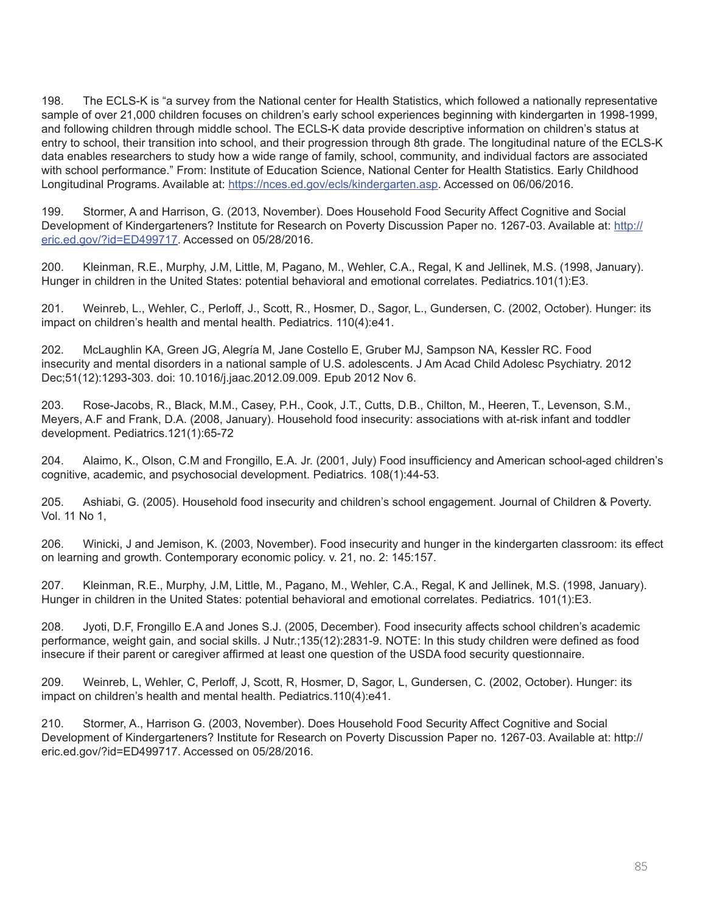198. The ECLS-K is "a survey from the National center for Health Statistics, which followed a nationally representative sample of over 21,000 children focuses on children's early school experiences beginning with kindergarten in 1998-1999, and following children through middle school. The ECLS-K data provide descriptive information on children's status at entry to school, their transition into school, and their progression through 8th grade. The longitudinal nature of the ECLS-K data enables researchers to study how a wide range of family, school, community, and individual factors are associated with school performance." From: Institute of Education Science, National Center for Health Statistics. Early Childhood Longitudinal Programs. Available at: [https://nces.ed.gov/ecls/kindergarten.asp.](https://nces.ed.gov/ecls/kindergarten.asp) Accessed on 06/06/2016.

199. Stormer, A and Harrison, G. (2013, November). Does Household Food Security Affect Cognitive and Social Development of Kindergarteners? Institute for Research on Poverty Discussion Paper no. 1267-03. Available at: [http://](http://eric.ed.gov/?id=ED499717) [eric.ed.gov/?id=ED499717](http://eric.ed.gov/?id=ED499717). Accessed on 05/28/2016.

200. Kleinman, R.E., Murphy, J.M, Little, M, Pagano, M., Wehler, C.A., Regal, K and Jellinek, M.S. (1998, January). Hunger in children in the United States: potential behavioral and emotional correlates. Pediatrics.101(1):E3.

201. Weinreb, L., Wehler, C., Perloff, J., Scott, R., Hosmer, D., Sagor, L., Gundersen, C. (2002, October). Hunger: its impact on children's health and mental health. Pediatrics. 110(4):e41.

202. McLaughlin KA, Green JG, Alegría M, Jane Costello E, Gruber MJ, Sampson NA, Kessler RC. Food insecurity and mental disorders in a national sample of U.S. adolescents. J Am Acad Child Adolesc Psychiatry. 2012 Dec;51(12):1293-303. doi: 10.1016/j.jaac.2012.09.009. Epub 2012 Nov 6.

203. Rose-Jacobs, R., Black, M.M., Casey, P.H., Cook, J.T., Cutts, D.B., Chilton, M., Heeren, T., Levenson, S.M., Meyers, A.F and Frank, D.A. (2008, January). Household food insecurity: associations with at-risk infant and toddler development. Pediatrics.121(1):65-72

204. Alaimo, K., Olson, C.M and Frongillo, E.A. Jr. (2001, July) Food insufficiency and American school-aged children's cognitive, academic, and psychosocial development. Pediatrics. 108(1):44-53.

205. Ashiabi, G. (2005). Household food insecurity and children's school engagement. Journal of Children & Poverty. Vol. 11 No 1,

206. Winicki, J and Jemison, K. (2003, November). Food insecurity and hunger in the kindergarten classroom: its effect on learning and growth. Contemporary economic policy. v. 21, no. 2: 145:157.

207. Kleinman, R.E., Murphy, J.M, Little, M., Pagano, M., Wehler, C.A., Regal, K and Jellinek, M.S. (1998, January). Hunger in children in the United States: potential behavioral and emotional correlates. Pediatrics. 101(1):E3.

208. Jyoti, D.F, Frongillo E.A and Jones S.J. (2005, December). Food insecurity affects school children's academic performance, weight gain, and social skills. J Nutr.;135(12):2831-9. NOTE: In this study children were defined as food insecure if their parent or caregiver affirmed at least one question of the USDA food security questionnaire.

209. Weinreb, L, Wehler, C, Perloff, J, Scott, R, Hosmer, D, Sagor, L, Gundersen, C. (2002, October). Hunger: its impact on children's health and mental health. Pediatrics.110(4):e41.

210. Stormer, A., Harrison G. (2003, November). Does Household Food Security Affect Cognitive and Social Development of Kindergarteners? Institute for Research on Poverty Discussion Paper no. 1267-03. Available at: http:// eric.ed.gov/?id=ED499717. Accessed on 05/28/2016.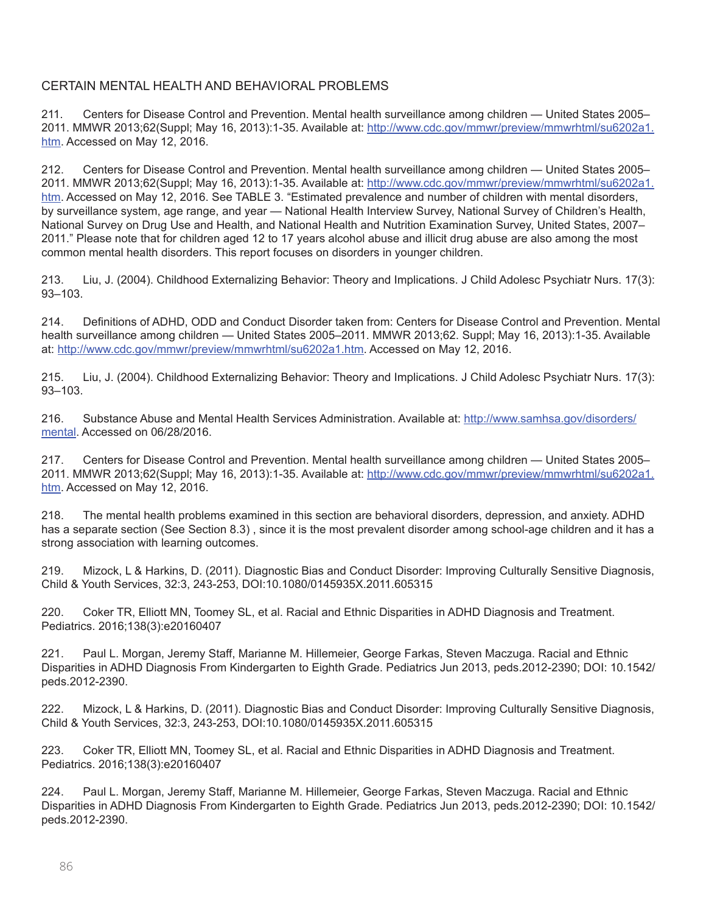## CERTAIN MENTAL HEALTH AND BEHAVIORAL PROBLEMS

211. Centers for Disease Control and Prevention. Mental health surveillance among children — United States 2005– 2011. MMWR 2013;62(Suppl; May 16, 2013):1-35. Available at: [http://www.cdc.gov/mmwr/preview/mmwrhtml/su6202a1.](http://www.cdc.gov/mmwr/preview/mmwrhtml/su6202a1.htm) [htm](http://www.cdc.gov/mmwr/preview/mmwrhtml/su6202a1.htm). Accessed on May 12, 2016.

212. Centers for Disease Control and Prevention. Mental health surveillance among children — United States 2005– 2011. MMWR 2013;62(Suppl; May 16, 2013):1-35. Available at: [http://www.cdc.gov/mmwr/preview/mmwrhtml/su6202a1.](http://www.cdc.gov/mmwr/preview/mmwrhtml/su6202a1.htm) [htm](http://www.cdc.gov/mmwr/preview/mmwrhtml/su6202a1.htm). Accessed on May 12, 2016. See TABLE 3. "Estimated prevalence and number of children with mental disorders, by surveillance system, age range, and year — National Health Interview Survey, National Survey of Children's Health, National Survey on Drug Use and Health, and National Health and Nutrition Examination Survey, United States, 2007– 2011." Please note that for children aged 12 to 17 years alcohol abuse and illicit drug abuse are also among the most common mental health disorders. This report focuses on disorders in younger children.

213. Liu, J. (2004). Childhood Externalizing Behavior: Theory and Implications. J Child Adolesc Psychiatr Nurs. 17(3): 93–103.

214. Definitions of ADHD, ODD and Conduct Disorder taken from: Centers for Disease Control and Prevention. Mental health surveillance among children — United States 2005–2011. MMWR 2013;62. Suppl; May 16, 2013):1-35. Available at: [http://www.cdc.gov/mmwr/preview/mmwrhtml/su6202a1.htm.](http://www.cdc.gov/mmwr/preview/mmwrhtml/su6202a1.htm) Accessed on May 12, 2016.

215. Liu, J. (2004). Childhood Externalizing Behavior: Theory and Implications. J Child Adolesc Psychiatr Nurs. 17(3): 93–103.

216. Substance Abuse and Mental Health Services Administration. Available at: [http://www.samhsa.gov/disorders/](http://www.samhsa.gov/disorders/mental) [mental](http://www.samhsa.gov/disorders/mental). Accessed on 06/28/2016.

217. Centers for Disease Control and Prevention. Mental health surveillance among children — United States 2005– 2011. MMWR 2013;62(Suppl; May 16, 2013):1-35. Available at: [http://www.cdc.gov/mmwr/preview/mmwrhtml/su6202a1.](http://www.cdc.gov/mmwr/preview/mmwrhtml/su6202a1.htm) [htm](http://www.cdc.gov/mmwr/preview/mmwrhtml/su6202a1.htm). Accessed on May 12, 2016.

218. The mental health problems examined in this section are behavioral disorders, depression, and anxiety. ADHD has a separate section (See Section 8.3) , since it is the most prevalent disorder among school-age children and it has a strong association with learning outcomes.

219. Mizock, L & Harkins, D. (2011). Diagnostic Bias and Conduct Disorder: Improving Culturally Sensitive Diagnosis, Child & Youth Services, 32:3, 243-253, DOI:10.1080/0145935X.2011.605315

220. Coker TR, Elliott MN, Toomey SL, et al. Racial and Ethnic Disparities in ADHD Diagnosis and Treatment. Pediatrics. 2016;138(3):e20160407

221. Paul L. Morgan, Jeremy Staff, Marianne M. Hillemeier, George Farkas, Steven Maczuga. Racial and Ethnic Disparities in ADHD Diagnosis From Kindergarten to Eighth Grade. Pediatrics Jun 2013, peds.2012-2390; DOI: 10.1542/ peds.2012-2390.

222. Mizock, L & Harkins, D. (2011). Diagnostic Bias and Conduct Disorder: Improving Culturally Sensitive Diagnosis, Child & Youth Services, 32:3, 243-253, DOI:10.1080/0145935X.2011.605315

223. Coker TR, Elliott MN, Toomey SL, et al. Racial and Ethnic Disparities in ADHD Diagnosis and Treatment. Pediatrics. 2016;138(3):e20160407

224. Paul L. Morgan, Jeremy Staff, Marianne M. Hillemeier, George Farkas, Steven Maczuga. Racial and Ethnic Disparities in ADHD Diagnosis From Kindergarten to Eighth Grade. Pediatrics Jun 2013, peds.2012-2390; DOI: 10.1542/ peds.2012-2390.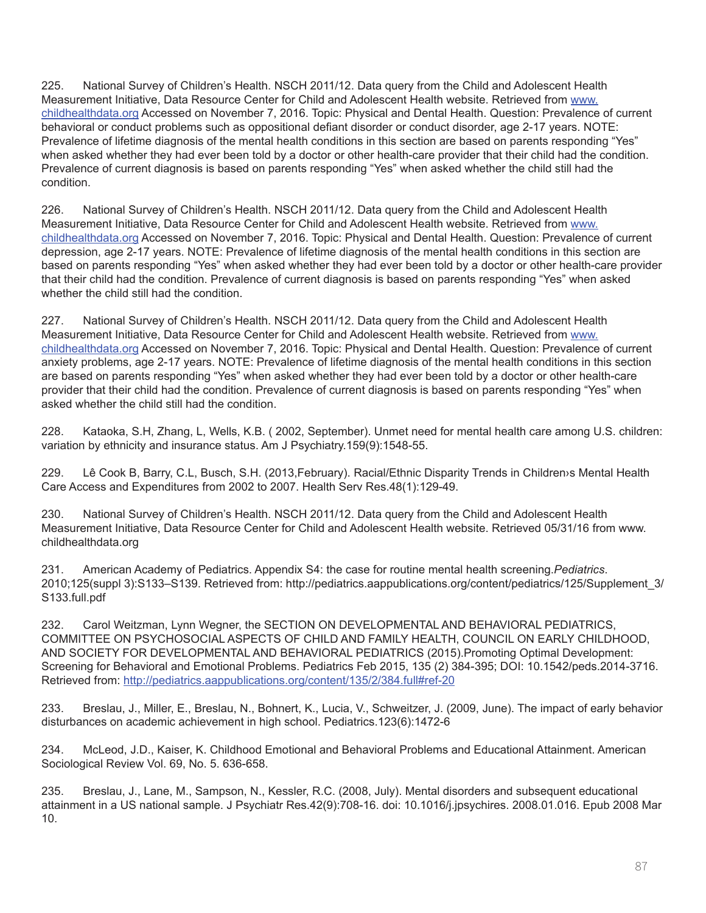225. National Survey of Children's Health. NSCH 2011/12. Data query from the Child and Adolescent Health Measurement Initiative, Data Resource Center for Child and Adolescent Health website. Retrieved from [www.](http://www.childhealthdata.org) [childhealthdata.org](http://www.childhealthdata.org) Accessed on November 7, 2016. Topic: Physical and Dental Health. Question: Prevalence of current behavioral or conduct problems such as oppositional defiant disorder or conduct disorder, age 2-17 years. NOTE: Prevalence of lifetime diagnosis of the mental health conditions in this section are based on parents responding "Yes" when asked whether they had ever been told by a doctor or other health-care provider that their child had the condition. Prevalence of current diagnosis is based on parents responding "Yes" when asked whether the child still had the condition.

226. National Survey of Children's Health. NSCH 2011/12. Data query from the Child and Adolescent Health Measurement Initiative, Data Resource Center for Child and Adolescent Health website. Retrieved from [www.](http://www.childhealthdata.org) [childhealthdata.org](http://www.childhealthdata.org) Accessed on November 7, 2016. Topic: Physical and Dental Health. Question: Prevalence of current depression, age 2-17 years. NOTE: Prevalence of lifetime diagnosis of the mental health conditions in this section are based on parents responding "Yes" when asked whether they had ever been told by a doctor or other health-care provider that their child had the condition. Prevalence of current diagnosis is based on parents responding "Yes" when asked whether the child still had the condition.

227. National Survey of Children's Health. NSCH 2011/12. Data query from the Child and Adolescent Health Measurement Initiative, Data Resource Center for Child and Adolescent Health website. Retrieved from [www.](http://www.childhealthdata.org) [childhealthdata.org](http://www.childhealthdata.org) Accessed on November 7, 2016. Topic: Physical and Dental Health. Question: Prevalence of current anxiety problems, age 2-17 years. NOTE: Prevalence of lifetime diagnosis of the mental health conditions in this section are based on parents responding "Yes" when asked whether they had ever been told by a doctor or other health-care provider that their child had the condition. Prevalence of current diagnosis is based on parents responding "Yes" when asked whether the child still had the condition.

228. Kataoka, S.H, Zhang, L, Wells, K.B. ( 2002, September). Unmet need for mental health care among U.S. children: variation by ethnicity and insurance status. Am J Psychiatry.159(9):1548-55.

229. Lê Cook B, Barry, C.L, Busch, S.H. (2013,February). Racial/Ethnic Disparity Trends in Children›s Mental Health Care Access and Expenditures from 2002 to 2007. Health Serv Res.48(1):129-49.

230. National Survey of Children's Health. NSCH 2011/12. Data query from the Child and Adolescent Health Measurement Initiative, Data Resource Center for Child and Adolescent Health website. Retrieved 05/31/16 from www. childhealthdata.org

231. American Academy of Pediatrics. Appendix S4: the case for routine mental health screening.*Pediatrics*. 2010;125(suppl 3):S133–S139. Retrieved from: http://pediatrics.aappublications.org/content/pediatrics/125/Supplement\_3/ S133.full.pdf

232. Carol Weitzman, Lynn Wegner, the SECTION ON DEVELOPMENTAL AND BEHAVIORAL PEDIATRICS, COMMITTEE ON PSYCHOSOCIAL ASPECTS OF CHILD AND FAMILY HEALTH, COUNCIL ON EARLY CHILDHOOD, AND SOCIETY FOR DEVELOPMENTAL AND BEHAVIORAL PEDIATRICS (2015).Promoting Optimal Development: Screening for Behavioral and Emotional Problems. Pediatrics Feb 2015, 135 (2) 384-395; DOI: 10.1542/peds.2014-3716. Retrieved from: http://pediatrics.aappublications.org/content/135/2/384.full#ref-20

233. Breslau, J., Miller, E., Breslau, N., Bohnert, K., Lucia, V., Schweitzer, J. (2009, June). The impact of early behavior disturbances on academic achievement in high school. Pediatrics.123(6):1472-6

234. McLeod, J.D., Kaiser, K. Childhood Emotional and Behavioral Problems and Educational Attainment. American Sociological Review Vol. 69, No. 5. 636-658.

235. Breslau, J., Lane, M., Sampson, N., Kessler, R.C. (2008, July). Mental disorders and subsequent educational attainment in a US national sample. J Psychiatr Res.42(9):708-16. doi: 10.1016/j.jpsychires. 2008.01.016. Epub 2008 Mar 10.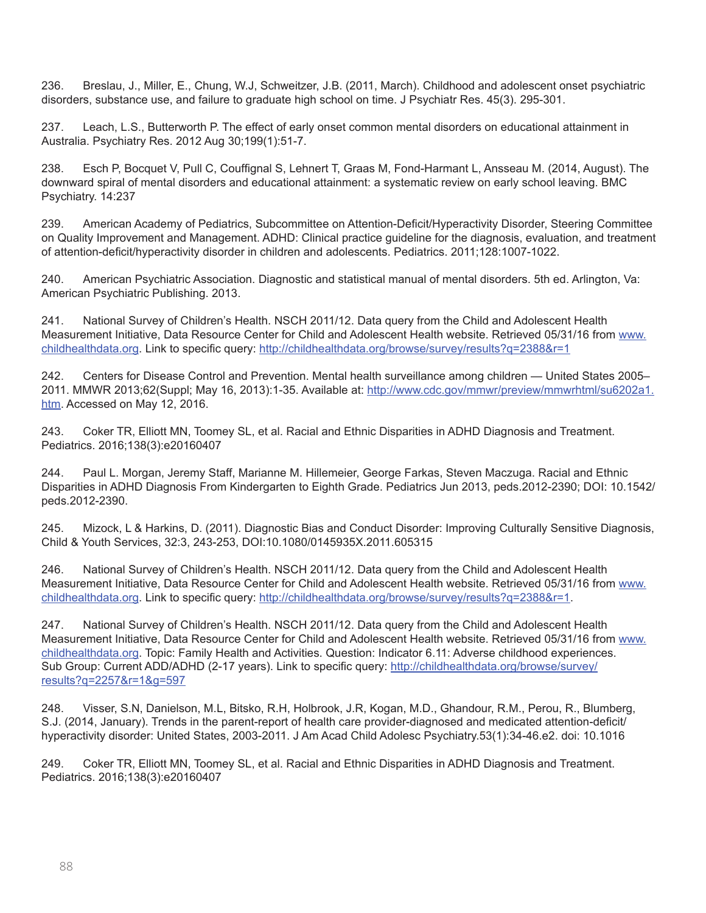236. Breslau, J., Miller, E., Chung, W.J, Schweitzer, J.B. (2011, March). Childhood and adolescent onset psychiatric disorders, substance use, and failure to graduate high school on time. J Psychiatr Res. 45(3). 295-301.

237. Leach, L.S., Butterworth P. The effect of early onset common mental disorders on educational attainment in Australia. Psychiatry Res. 2012 Aug 30;199(1):51-7.

238. Esch P, Bocquet V, Pull C, Couffignal S, Lehnert T, Graas M, Fond-Harmant L, Ansseau M. (2014, August). The downward spiral of mental disorders and educational attainment: a systematic review on early school leaving. BMC Psychiatry. 14:237

239. American Academy of Pediatrics, Subcommittee on Attention-Deficit/Hyperactivity Disorder, Steering Committee on Quality Improvement and Management. ADHD: Clinical practice guideline for the diagnosis, evaluation, and treatment of attention-deficit/hyperactivity disorder in children and adolescents. Pediatrics. 2011;128:1007-1022.

240. American Psychiatric Association. Diagnostic and statistical manual of mental disorders. 5th ed. Arlington, Va: American Psychiatric Publishing. 2013.

241. National Survey of Children's Health. NSCH 2011/12. Data query from the Child and Adolescent Health Measurement Initiative, Data Resource Center for Child and Adolescent Health website. Retrieved 05/31/16 from [www.](http://www.childhealthdata.org) [childhealthdata.org](http://www.childhealthdata.org). Link to specific query: <http://childhealthdata.org/browse/survey/results?q=2388&r=1>

242. Centers for Disease Control and Prevention. Mental health surveillance among children — United States 2005– 2011. MMWR 2013;62(Suppl; May 16, 2013):1-35. Available at: [http://www.cdc.gov/mmwr/preview/mmwrhtml/su6202a1.](http://www.cdc.gov/mmwr/preview/mmwrhtml/su6202a1.htm) [htm](http://www.cdc.gov/mmwr/preview/mmwrhtml/su6202a1.htm). Accessed on May 12, 2016.

243. Coker TR, Elliott MN, Toomey SL, et al. Racial and Ethnic Disparities in ADHD Diagnosis and Treatment. Pediatrics. 2016;138(3):e20160407

244. Paul L. Morgan, Jeremy Staff, Marianne M. Hillemeier, George Farkas, Steven Maczuga. Racial and Ethnic Disparities in ADHD Diagnosis From Kindergarten to Eighth Grade. Pediatrics Jun 2013, peds.2012-2390; DOI: 10.1542/ peds.2012-2390.

245. Mizock, L & Harkins, D. (2011). Diagnostic Bias and Conduct Disorder: Improving Culturally Sensitive Diagnosis, Child & Youth Services, 32:3, 243-253, DOI:10.1080/0145935X.2011.605315

246. National Survey of Children's Health. NSCH 2011/12. Data query from the Child and Adolescent Health Measurement Initiative, Data Resource Center for Child and Adolescent Health website. Retrieved 05/31/16 from [www.](http://www.childhealthdata.org) [childhealthdata.org](http://www.childhealthdata.org). Link to specific query: <http://childhealthdata.org/browse/survey/results?q=2388&r=1>.

247. National Survey of Children's Health. NSCH 2011/12. Data query from the Child and Adolescent Health Measurement Initiative, Data Resource Center for Child and Adolescent Health website. Retrieved 05/31/16 from [www.](http://www.childhealthdata.org) [childhealthdata.org](http://www.childhealthdata.org). Topic: Family Health and Activities. Question: Indicator 6.11: Adverse childhood experiences. Sub Group: Current ADD/ADHD (2-17 years). Link to specific query: [http://childhealthdata.org/browse/survey/](http://childhealthdata.org/browse/survey/results?q=2257&r=1&g=597) [results?q=2257&r=1&g=597](http://childhealthdata.org/browse/survey/results?q=2257&r=1&g=597)

248. Visser, S.N, Danielson, M.L, Bitsko, R.H, Holbrook, J.R, Kogan, M.D., Ghandour, R.M., Perou, R., Blumberg, S.J. (2014, January). Trends in the parent-report of health care provider-diagnosed and medicated attention-deficit/ hyperactivity disorder: United States, 2003-2011. J Am Acad Child Adolesc Psychiatry.53(1):34-46.e2. doi: 10.1016

249. Coker TR, Elliott MN, Toomey SL, et al. Racial and Ethnic Disparities in ADHD Diagnosis and Treatment. Pediatrics. 2016;138(3):e20160407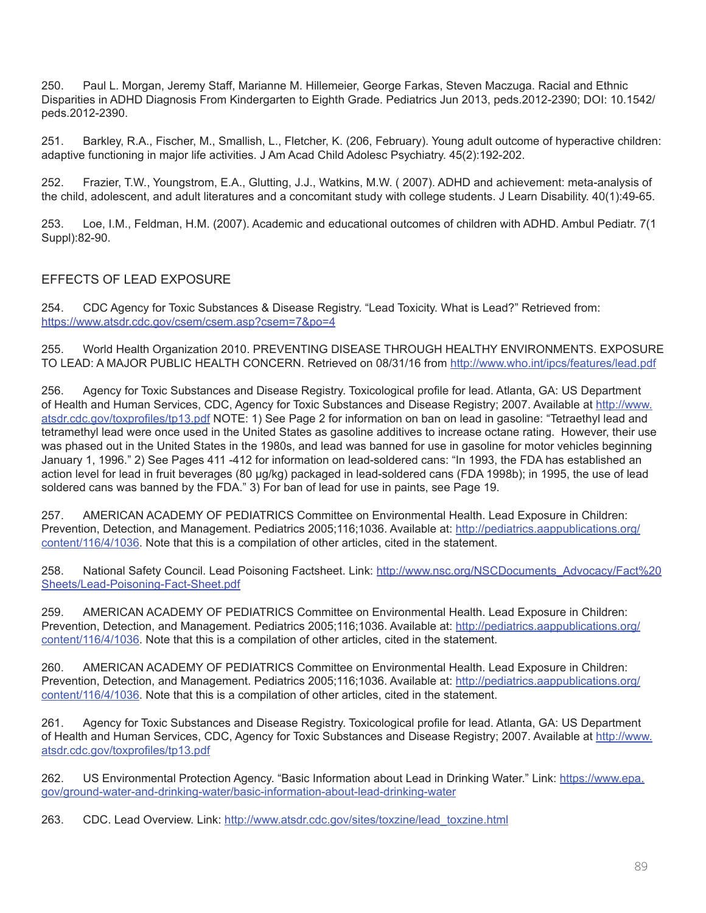250. Paul L. Morgan, Jeremy Staff, Marianne M. Hillemeier, George Farkas, Steven Maczuga. Racial and Ethnic Disparities in ADHD Diagnosis From Kindergarten to Eighth Grade. Pediatrics Jun 2013, peds.2012-2390; DOI: 10.1542/ peds.2012-2390.

251. Barkley, R.A., Fischer, M., Smallish, L., Fletcher, K. (206, February). Young adult outcome of hyperactive children: adaptive functioning in major life activities. J Am Acad Child Adolesc Psychiatry. 45(2):192-202.

252. Frazier, T.W., Youngstrom, E.A., Glutting, J.J., Watkins, M.W. ( 2007). ADHD and achievement: meta-analysis of the child, adolescent, and adult literatures and a concomitant study with college students. J Learn Disability. 40(1):49-65.

253. Loe, I.M., Feldman, H.M. (2007). Academic and educational outcomes of children with ADHD. Ambul Pediatr. 7(1 Suppl):82-90.

## EFFECTS OF LEAD EXPOSURE

254. CDC Agency for Toxic Substances & Disease Registry. "Lead Toxicity. What is Lead?" Retrieved from: <https://www.atsdr.cdc.gov/csem/csem.asp?csem=7&po=4>

255. World Health Organization 2010. PREVENTING DISEASE THROUGH HEALTHY ENVIRONMENTS. EXPOSURE TO LEAD: A MAJOR PUBLIC HEALTH CONCERN. Retrieved on 08/31/16 from [http://www.who.int/ipcs/features/lead.pdf](http://www.who.int/ipcs/features/lead..pdf)

256. Agency for Toxic Substances and Disease Registry. Toxicological profile for lead. Atlanta, GA: US Department of Health and Human Services, CDC, Agency for Toxic Substances and Disease Registry; 2007. Available at [http://www.](http://www.atsdr.cdc.gov/toxprofiles/tp13.pdf) [atsdr.cdc.gov/toxprofiles/tp13.pdf](http://www.atsdr.cdc.gov/toxprofiles/tp13.pdf) NOTE: 1) See Page 2 for information on ban on lead in gasoline: "Tetraethyl lead and tetramethyl lead were once used in the United States as gasoline additives to increase octane rating. However, their use was phased out in the United States in the 1980s, and lead was banned for use in gasoline for motor vehicles beginning January 1, 1996." 2) See Pages 411 -412 for information on lead-soldered cans: "In 1993, the FDA has established an action level for lead in fruit beverages (80 μg/kg) packaged in lead-soldered cans (FDA 1998b); in 1995, the use of lead soldered cans was banned by the FDA." 3) For ban of lead for use in paints, see Page 19.

257. AMERICAN ACADEMY OF PEDIATRICS Committee on Environmental Health. Lead Exposure in Children: Prevention, Detection, and Management. Pediatrics 2005;116;1036. Available at: [http://pediatrics.aappublications.org/](http://pediatrics.aappublications.org/content/116/4/1036) [content/116/4/1036.](http://pediatrics.aappublications.org/content/116/4/1036) Note that this is a compilation of other articles, cited in the statement.

258. National Safety Council. Lead Poisoning Factsheet. Link: [http://www.nsc.org/NSCDocuments\\_Advocacy/Fact%20](http://www.nsc.org/NSCDocuments_Advocacy/Fact%20Sheets/Lead-Poisoning-Fact-Sheet.pdf) [Sheets/Lead-Poisoning-Fact-Sheet.pdf](http://www.nsc.org/NSCDocuments_Advocacy/Fact%20Sheets/Lead-Poisoning-Fact-Sheet.pdf)

259. AMERICAN ACADEMY OF PEDIATRICS Committee on Environmental Health. Lead Exposure in Children: Prevention, Detection, and Management. Pediatrics 2005;116;1036. Available at: [http://pediatrics.aappublications.org/](http://pediatrics.aappublications.org/content/116/4/1036) [content/116/4/1036.](http://pediatrics.aappublications.org/content/116/4/1036) Note that this is a compilation of other articles, cited in the statement.

260. AMERICAN ACADEMY OF PEDIATRICS Committee on Environmental Health. Lead Exposure in Children: Prevention, Detection, and Management. Pediatrics 2005;116;1036. Available at: [http://pediatrics.aappublications.org/](http://pediatrics.aappublications.org/content/116/4/1036) [content/116/4/1036.](http://pediatrics.aappublications.org/content/116/4/1036) Note that this is a compilation of other articles, cited in the statement.

261. Agency for Toxic Substances and Disease Registry. Toxicological profile for lead. Atlanta, GA: US Department of Health and Human Services, CDC, Agency for Toxic Substances and Disease Registry; 2007. Available at [http://www.](http://www.atsdr.cdc.gov/toxprofiles/tp13.pdf) [atsdr.cdc.gov/toxprofiles/tp13.pdf](http://www.atsdr.cdc.gov/toxprofiles/tp13.pdf)

262. US Environmental Protection Agency. "Basic Information about Lead in Drinking Water." Link: [https://www.epa.](https://www.epa.gov/ground-water-and-drinking-water/basic-information-about-lead-drinking-water) [gov/ground-water-and-drinking-water/basic-information-about-lead-drinking-water](https://www.epa.gov/ground-water-and-drinking-water/basic-information-about-lead-drinking-water)

263. CDC. Lead Overview. Link: [http://www.atsdr.cdc.gov/sites/toxzine/lead\\_toxzine.html](http://www.atsdr.cdc.gov/sites/toxzine/lead_toxzine.html)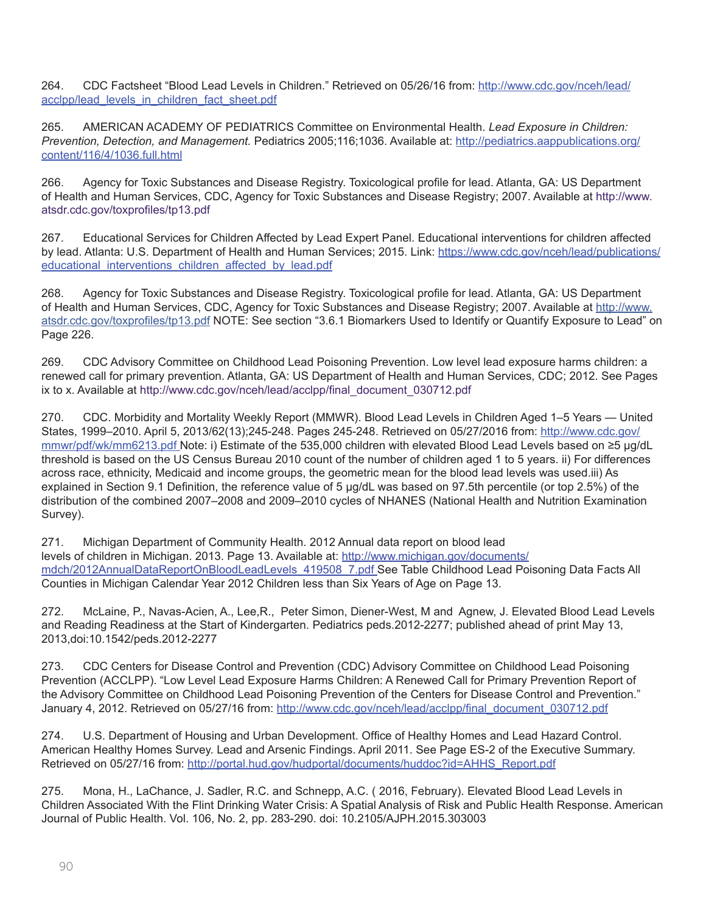264. CDC Factsheet "Blood Lead Levels in Children." Retrieved on 05/26/16 from: [http://www.cdc.gov/nceh/lead/](http://www.cdc.gov/nceh/lead/acclpp/lead_levels_in_children_fact_sheet.pdf) [acclpp/lead\\_levels\\_in\\_children\\_fact\\_sheet.pdf](http://www.cdc.gov/nceh/lead/acclpp/lead_levels_in_children_fact_sheet.pdf)

265. AMERICAN ACADEMY OF PEDIATRICS Committee on Environmental Health. *Lead Exposure in Children: Prevention, Detection, and Management.* Pediatrics 2005;116;1036. Available at: [http://pediatrics.aappublications.org/](http://pediatrics.aappublications.org/content/116/4/1036.full.html) [content/116/4/1036.full.html](http://pediatrics.aappublications.org/content/116/4/1036.full.html)

266. Agency for Toxic Substances and Disease Registry. Toxicological profile for lead. Atlanta, GA: US Department of Health and Human Services, CDC, Agency for Toxic Substances and Disease Registry; 2007. Available at [http://www.](http://www.atsdr.cdc.gov/toxprofiles/tp13.pdf) [atsdr.cdc.gov/toxprofiles/tp13.pdf](http://www.atsdr.cdc.gov/toxprofiles/tp13.pdf)

267. Educational Services for Children Affected by Lead Expert Panel. Educational interventions for children affected by lead. Atlanta: U.S. Department of Health and Human Services; 2015. Link: [https://www.cdc.gov/nceh/lead/publications/](https://www.cdc.gov/nceh/lead/publications/educational_interventions_children_affected_by_lead.pdf) [educational\\_interventions\\_children\\_affected\\_by\\_lead.pdf](https://www.cdc.gov/nceh/lead/publications/educational_interventions_children_affected_by_lead.pdf)

268. Agency for Toxic Substances and Disease Registry. Toxicological profile for lead. Atlanta, GA: US Department of Health and Human Services, CDC, Agency for Toxic Substances and Disease Registry; 2007. Available at [http://www.](http://www.atsdr.cdc.gov/toxprofiles/tp13.pdf) [atsdr.cdc.gov/toxprofiles/tp13.pdf](http://www.atsdr.cdc.gov/toxprofiles/tp13.pdf) NOTE: See section "3.6.1 Biomarkers Used to Identify or Quantify Exposure to Lead" on Page 226.

269. CDC Advisory Committee on Childhood Lead Poisoning Prevention. Low level lead exposure harms children: a renewed call for primary prevention. Atlanta, GA: US Department of Health and Human Services, CDC; 2012. See Pages ix to x. Available at [http://www.cdc.gov/nceh/lead/acclpp/final\\_document\\_030712.pdf](http://www.cdc.gov/nceh/lead/acclpp/final_document_030712.pdf)

270. CDC. Morbidity and Mortality Weekly Report (MMWR). Blood Lead Levels in Children Aged 1–5 Years — United States, 1999–2010. April 5, 2013/62(13);245-248. Pages 245-248. Retrieved on 05/27/2016 from: [http://www.cdc.gov/](http://www.cdc.gov/mmwr/pdf/wk/mm6213.pdf) [mmwr/pdf/wk/mm6213.pdf](http://www.cdc.gov/mmwr/pdf/wk/mm6213.pdf) Note: i) Estimate of the 535,000 children with elevated Blood Lead Levels based on ≥5 µg/dL threshold is based on the US Census Bureau 2010 count of the number of children aged 1 to 5 years. ii) For differences across race, ethnicity, Medicaid and income groups, the geometric mean for the blood lead levels was used.iii) As explained in Section 9.1 Definition, the reference value of 5 µg/dL was based on 97.5th percentile (or top 2.5%) of the distribution of the combined 2007–2008 and 2009–2010 cycles of NHANES (National Health and Nutrition Examination Survey).

271. Michigan Department of Community Health. 2012 Annual data report on blood lead levels of children in Michigan. 2013. Page 13. Available at: [http://www.michigan.gov/documents/](http://www.michigan.gov/documents/mdch/2012AnnualDataReportOnBloodLeadLevels_419508_7.pdf) [mdch/2012AnnualDataReportOnBloodLeadLevels\\_419508\\_7.pdf](http://www.michigan.gov/documents/mdch/2012AnnualDataReportOnBloodLeadLevels_419508_7.pdf) See Table Childhood Lead Poisoning Data Facts All Counties in Michigan Calendar Year 2012 Children less than Six Years of Age on Page 13.

272. McLaine, P., Navas-Acien, A., Lee,R., Peter Simon, Diener-West, M and Agnew, J. Elevated Blood Lead Levels and Reading Readiness at the Start of Kindergarten. Pediatrics peds.2012-2277; published ahead of print May 13, 2013,doi:10.1542/peds.2012-2277

273. CDC Centers for Disease Control and Prevention (CDC) Advisory Committee on Childhood Lead Poisoning Prevention (ACCLPP). "Low Level Lead Exposure Harms Children: A Renewed Call for Primary Prevention Report of the Advisory Committee on Childhood Lead Poisoning Prevention of the Centers for Disease Control and Prevention." January 4, 2012. Retrieved on 05/27/16 from: [http://www.cdc.gov/nceh/lead/acclpp/final\\_document\\_030712.pdf](http://www.cdc.gov/nceh/lead/acclpp/final_document_030712.pdf)

274. U.S. Department of Housing and Urban Development. Office of Healthy Homes and Lead Hazard Control. American Healthy Homes Survey. Lead and Arsenic Findings. April 2011. See Page ES-2 of the Executive Summary. Retrieved on 05/27/16 from: [http://portal.hud.gov/hudportal/documents/huddoc?id=AHHS\\_Report.pdf](http://portal.hud.gov/hudportal/documents/huddoc?id=AHHS_Report.pdf)

275. Mona, H., LaChance, J. Sadler, R.C. and Schnepp, A.C. ( 2016, February). Elevated Blood Lead Levels in Children Associated With the Flint Drinking Water Crisis: A Spatial Analysis of Risk and Public Health Response. American Journal of Public Health. Vol. 106, No. 2, pp. 283-290. doi: 10.2105/AJPH.2015.303003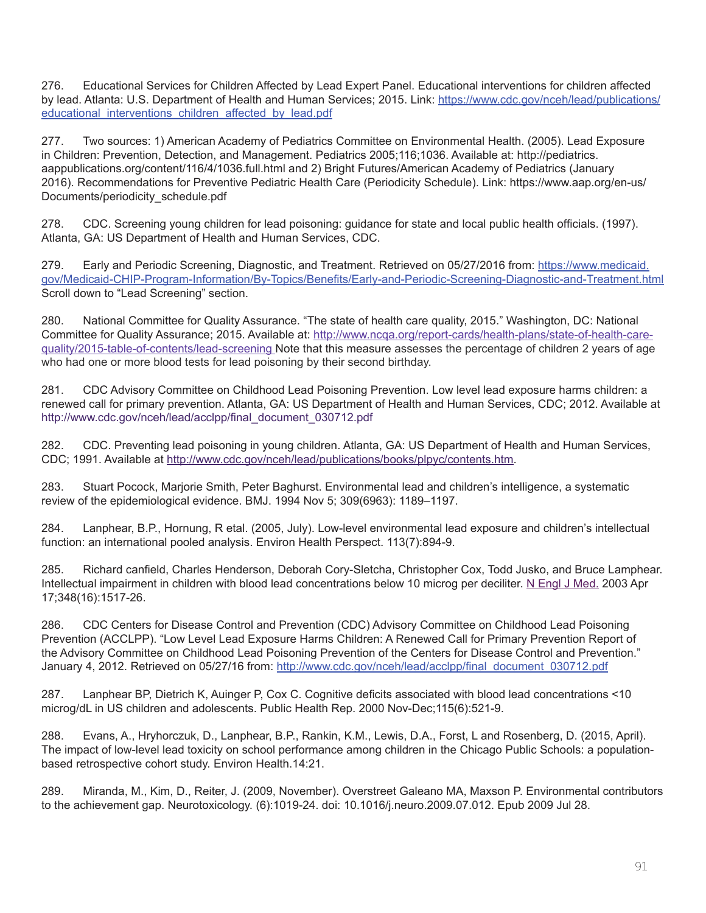276. Educational Services for Children Affected by Lead Expert Panel. Educational interventions for children affected by lead. Atlanta: U.S. Department of Health and Human Services; 2015. Link: [https://www.cdc.gov/nceh/lead/publications/](https://www.cdc.gov/nceh/lead/publications/educational_interventions_children_affected_by_lead.pdf) [educational\\_interventions\\_children\\_affected\\_by\\_lead.pdf](https://www.cdc.gov/nceh/lead/publications/educational_interventions_children_affected_by_lead.pdf)

277. Two sources: 1) American Academy of Pediatrics Committee on Environmental Health. (2005). Lead Exposure in Children: Prevention, Detection, and Management. Pediatrics 2005;116;1036. Available at: [http://pediatrics.](http://pediatrics.aappublications.org/content/116/4/1036.full.html) [aappublications.org/content/116/4/1036.full.html](http://pediatrics.aappublications.org/content/116/4/1036.full.html) and 2) Bright Futures/American Academy of Pediatrics (January 2016). Recommendations for Preventive Pediatric Health Care (Periodicity Schedule). Link: [https://www.aap.org/en-us/](https://www.aap.org/en-us/Documents/periodicity_schedule.pdf) [Documents/periodicity\\_schedule.pdf](https://www.aap.org/en-us/Documents/periodicity_schedule.pdf)

278. CDC. Screening young children for lead poisoning: guidance for state and local public health officials. (1997). Atlanta, GA: US Department of Health and Human Services, CDC.

279. Early and Periodic Screening, Diagnostic, and Treatment. Retrieved on 05/27/2016 from: [https://www.medicaid.](https://www.medicaid.gov/Medicaid-CHIP-Program-Information/By-Topics/Benefits/Early-and-Periodic-Screening-Diagnostic-and-Treatment.html) [gov/Medicaid-CHIP-Program-Information/By-Topics/Benefits/Early-and-Periodic-Screening-Diagnostic-and-Treatment.html](https://www.medicaid.gov/Medicaid-CHIP-Program-Information/By-Topics/Benefits/Early-and-Periodic-Screening-Diagnostic-and-Treatment.html) Scroll down to "Lead Screening" section.

280. National Committee for Quality Assurance. "The state of health care quality, 2015." Washington, DC: National Committee for Quality Assurance; 2015. Available at: [http://www.ncqa.org/report-cards/health-plans/state-of-health-care](http://www.ncqa.org/report-cards/health-plans/state-of-health-care-quality/2015-table-of-contents/lead-screening)guality/2015-table-of-contents/lead-screening Note that this measure assesses the percentage of children 2 years of age who had one or more blood tests for lead poisoning by their second birthday.

281. CDC Advisory Committee on Childhood Lead Poisoning Prevention. Low level lead exposure harms children: a renewed call for primary prevention. Atlanta, GA: US Department of Health and Human Services, CDC; 2012. Available at [http://www.cdc.gov/nceh/lead/acclpp/final\\_document\\_030712.pdf](http://www.cdc.gov/nceh/lead/acclpp/final_document_030712.pdf)

282. CDC. Preventing lead poisoning in young children. Atlanta, GA: US Department of Health and Human Services, CDC; 1991. Available at <http://www.cdc.gov/nceh/lead/publications/books/plpyc/contents.htm>.

283. Stuart Pocock, Marjorie Smith, Peter Baghurst. Environmental lead and children's intelligence, a systematic review of the epidemiological evidence. BMJ. 1994 Nov 5; 309(6963): 1189–1197.

284. Lanphear, B.P., Hornung, R etal. (2005, July). Low-level environmental lead exposure and children's intellectual function: an international pooled analysis. Environ Health Perspect. 113(7):894-9.

285. Richard canfield, Charles Henderson, Deborah Cory-Sletcha, Christopher Cox, Todd Jusko, and Bruce Lamphear. Intellectual impairment in children with blood lead concentrations below 10 microg per deciliter. [N Engl J Med.](http://www.ncbi.nlm.nih.gov/pubmed/12700371) 2003 Apr 17;348(16):1517-26.

286. CDC Centers for Disease Control and Prevention (CDC) Advisory Committee on Childhood Lead Poisoning Prevention (ACCLPP). "Low Level Lead Exposure Harms Children: A Renewed Call for Primary Prevention Report of the Advisory Committee on Childhood Lead Poisoning Prevention of the Centers for Disease Control and Prevention." January 4, 2012. Retrieved on 05/27/16 from: [http://www.cdc.gov/nceh/lead/acclpp/final\\_document\\_030712.pdf](http://www.cdc.gov/nceh/lead/acclpp/final_document_030712.pdf)

287. Lanphear BP, Dietrich K, Auinger P, Cox C. Cognitive deficits associated with blood lead concentrations <10 microg/dL in US children and adolescents. Public Health Rep. 2000 Nov-Dec;115(6):521-9.

288. Evans, A., Hryhorczuk, D., Lanphear, B.P., Rankin, K.M., Lewis, D.A., Forst, L and Rosenberg, D. (2015, April). The impact of low-level lead toxicity on school performance among children in the Chicago Public Schools: a populationbased retrospective cohort study. Environ Health.14:21.

289. Miranda, M., Kim, D., Reiter, J. (2009, November). Overstreet Galeano MA, Maxson P. Environmental contributors to the achievement gap. Neurotoxicology. (6):1019-24. doi: 10.1016/j.neuro.2009.07.012. Epub 2009 Jul 28.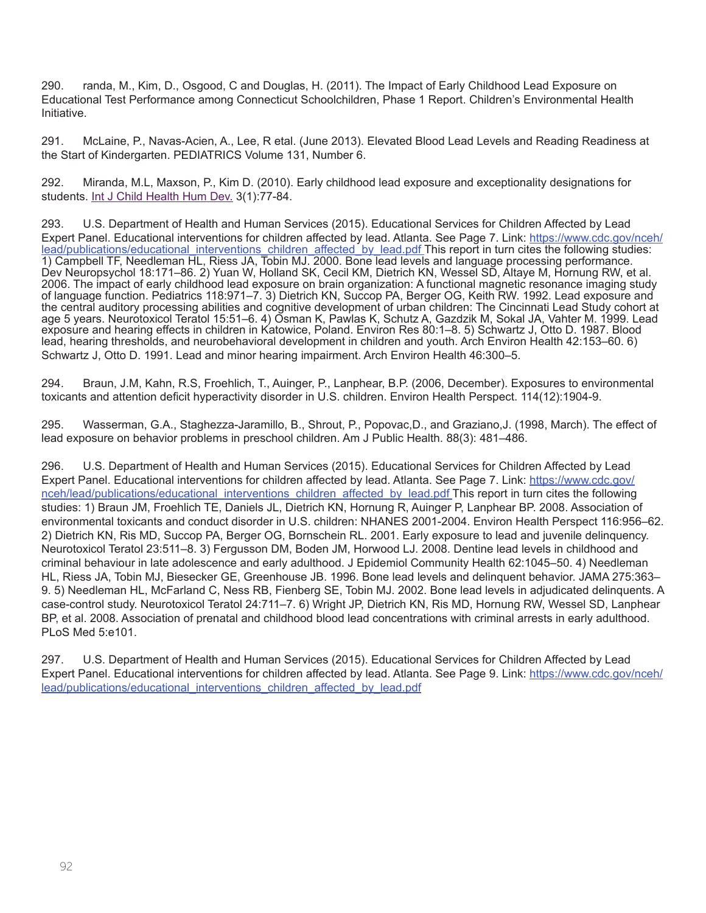290. randa, M., Kim, D., Osgood, C and Douglas, H. (2011). The Impact of Early Childhood Lead Exposure on Educational Test Performance among Connecticut Schoolchildren, Phase 1 Report. Children's Environmental Health Initiative.

291. McLaine, P., Navas-Acien, A., Lee, R etal. (June 2013). Elevated Blood Lead Levels and Reading Readiness at the Start of Kindergarten. PEDIATRICS Volume 131, Number 6.

292. Miranda, M.L, Maxson, P., Kim D. (2010). Early childhood lead exposure and exceptionality designations for students. [Int J Child Health Hum Dev.](http://www.ncbi.nlm.nih.gov/pubmed/21533004) 3(1):77-84.

293. U.S. Department of Health and Human Services (2015). Educational Services for Children Affected by Lead Expert Panel. Educational interventions for children affected by lead. Atlanta. See Page 7. Link: [https://www.cdc.gov/nceh/](https://www.cdc.gov/nceh/lead/publications/educational_interventions_children_affected_by_lead.pdf) [lead/publications/educational\\_interventions\\_children\\_affected\\_by\\_lead.pdf](https://www.cdc.gov/nceh/lead/publications/educational_interventions_children_affected_by_lead.pdf) This report in turn cites the following studies: 1) Campbell TF, Needleman HL, Riess JA, Tobin MJ. 2000. Bone lead levels and language processing performance. Dev Neuropsychol 18:171–86. 2) Yuan W, Holland SK, Cecil KM, Dietrich KN, Wessel SD, Altaye M, Hornung RW, et al. 2006. The impact of early childhood lead exposure on brain organization: A functional magnetic resonance imaging study of language function. Pediatrics 118:971–7. 3) Dietrich KN, Succop PA, Berger OG, Keith RW. 1992. Lead exposure and the central auditory processing abilities and cognitive development of urban children: The Cincinnati Lead Study cohort at age 5 years. Neurotoxicol Teratol 15:51–6. 4) Osman K, Pawlas K, Schutz A, Gazdzik M, Sokal JA, Vahter M. 1999. Lead exposure and hearing effects in children in Katowice, Poland. Environ Res 80:1–8. 5) Schwartz J, Otto D. 1987. Blood lead, hearing thresholds, and neurobehavioral development in children and youth. Arch Environ Health 42:153–60. 6) Schwartz J, Otto D. 1991. Lead and minor hearing impairment. Arch Environ Health 46:300–5.

294. Braun, J.M, Kahn, R.S, Froehlich, T., Auinger, P., Lanphear, B.P. (2006, December). Exposures to environmental toxicants and attention deficit hyperactivity disorder in U.S. children. Environ Health Perspect. 114(12):1904-9.

295. Wasserman, G.A., Staghezza-Jaramillo, B., Shrout, P., Popovac,D., and Graziano,J. (1998, March). The effect of lead exposure on behavior problems in preschool children. Am J Public Health. 88(3): 481–486.

296. U.S. Department of Health and Human Services (2015). Educational Services for Children Affected by Lead Expert Panel. Educational interventions for children affected by lead. Atlanta. See Page 7. Link: [https://www.cdc.gov/](https://www.cdc.gov/nceh/lead/publications/educational_interventions_children_affected_by_lead.pdf) [nceh/lead/publications/educational\\_interventions\\_children\\_affected\\_by\\_lead.pdf](https://www.cdc.gov/nceh/lead/publications/educational_interventions_children_affected_by_lead.pdf) This report in turn cites the following studies: 1) Braun JM, Froehlich TE, Daniels JL, Dietrich KN, Hornung R, Auinger P, Lanphear BP. 2008. Association of environmental toxicants and conduct disorder in U.S. children: NHANES 2001-2004. Environ Health Perspect 116:956–62. 2) Dietrich KN, Ris MD, Succop PA, Berger OG, Bornschein RL. 2001. Early exposure to lead and juvenile delinquency. Neurotoxicol Teratol 23:511–8. 3) Fergusson DM, Boden JM, Horwood LJ. 2008. Dentine lead levels in childhood and criminal behaviour in late adolescence and early adulthood. J Epidemiol Community Health 62:1045–50. 4) Needleman HL, Riess JA, Tobin MJ, Biesecker GE, Greenhouse JB. 1996. Bone lead levels and delinquent behavior. JAMA 275:363– 9. 5) Needleman HL, McFarland C, Ness RB, Fienberg SE, Tobin MJ. 2002. Bone lead levels in adjudicated delinquents. A case-control study. Neurotoxicol Teratol 24:711–7. 6) Wright JP, Dietrich KN, Ris MD, Hornung RW, Wessel SD, Lanphear BP, et al. 2008. Association of prenatal and childhood blood lead concentrations with criminal arrests in early adulthood. PLoS Med 5:e101.

297. U.S. Department of Health and Human Services (2015). Educational Services for Children Affected by Lead Expert Panel. Educational interventions for children affected by lead. Atlanta. See Page 9. Link: [https://www.cdc.gov/nceh/](https://www.cdc.gov/nceh/lead/publications/educational_interventions_children_affected_by_lead.pdf) [lead/publications/educational\\_interventions\\_children\\_affected\\_by\\_lead.pdf](https://www.cdc.gov/nceh/lead/publications/educational_interventions_children_affected_by_lead.pdf)